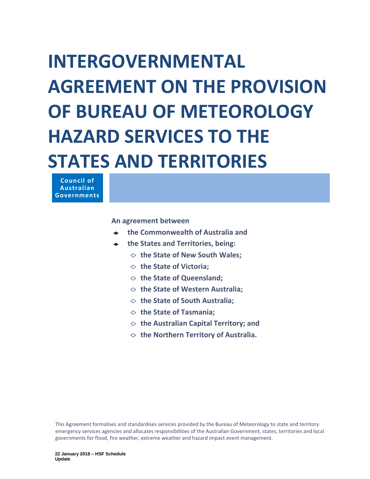# **AGREEMENT ON THE PROVISION OF BUREAU OF METEOROLOGY HAZARD SERVICES TO THE STATES AND TERRITORIES INTERGOVERNMENTAL**

 **Council of Australian Governments**

 **An agreement between**

- **the Commonwealth of Australia and**
- **the States and Territories, being:**
	- ◊ **the State of New South Wales;**
	- ◊ **the State of Victoria;**
	- ◊ **the State of Queensland;**
	- ◊ **the State of Western Australia;**
	- ◊ **the State of South Australia;**
	- ◊ **the State of Tasmania;**
	- ◊ **the Australian Capital Territory; and**
	- ◊ **the Northern Territory of Australia.**

 This Agreement formalises and standardises services provided by the Bureau of Meteorology to state and territory emergency services agencies and allocates responsibilities of the Australian Government, states, territories and local governments for flood, fire weather, extreme weather and hazard impact event management.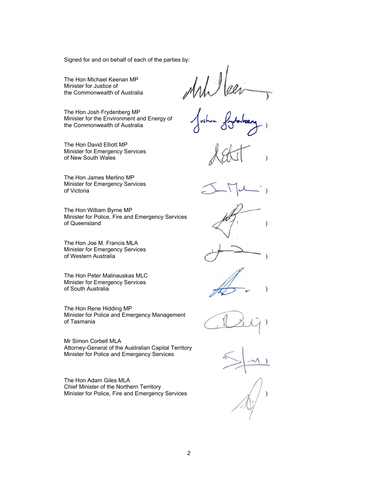Signed for and on behalf of each of the parties by:

 The Hon Michael Keenan MP Minister for Justice of

Minister for the Environment and Energy of Show Joylevizey the Commonwealth of Australia The Hon Josh Frydenberg MP

Minister for Emergency Services<br>of New South Wales ) of New South Wales The Hon David Elliott MP

of Victoria The Hon James Merlino MP Minister for Emergency Services of Victoria )

 Minister for Police, Fire and Emergency Services of Queensland (a) and the state of  $\left( \frac{1}{2}, \frac{1}{2} \right)$ The Hon William Byrne MP

 of Western Australia ) The Hon Joe M. Francis MLA Minister for Emergency Services

of South Australia (a) and the set of the set of the set of the set of the set of the set of the set of the set of the set of the set of the set of the set of the set of the set of the set of the set of the set of the set The Hon Peter Malinauskas MLC Minister for Emergency Services

of Tasmania  $\bigcup_{\lambda} \bigcup_{\lambda} \bigcup_{\lambda} \bigcup_{\lambda} \bigcup_{\lambda}$ The Hon Rene Hidding MP Minister for Police and Emergency Management

 Minister for Police and Emergency Services Mr Simon Corbell MLA Attorney-General of the Australian Capital Territory

 Minister for Police, Fire and Emergency Services The Hon Adam Giles MLA Chief Minister of the Northern Territory

the Commonwealth of Australia **the Commonwealth of Australia** 







) )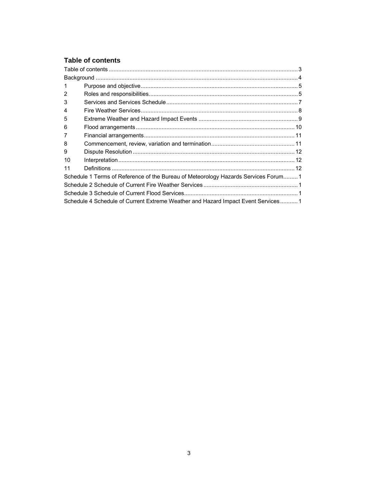# **Table of contents**

| 1              |                                                                                    |  |
|----------------|------------------------------------------------------------------------------------|--|
| $\overline{2}$ |                                                                                    |  |
| 3              |                                                                                    |  |
| 4              |                                                                                    |  |
| 5              |                                                                                    |  |
| 6              |                                                                                    |  |
| 7              |                                                                                    |  |
| 8              |                                                                                    |  |
| 9              |                                                                                    |  |
| 10             |                                                                                    |  |
| 11             |                                                                                    |  |
|                | Schedule 1 Terms of Reference of the Bureau of Meteorology Hazards Services Forum1 |  |
|                |                                                                                    |  |
|                |                                                                                    |  |
|                | Schedule 4 Schedule of Current Extreme Weather and Hazard Impact Event Services 1  |  |
|                |                                                                                    |  |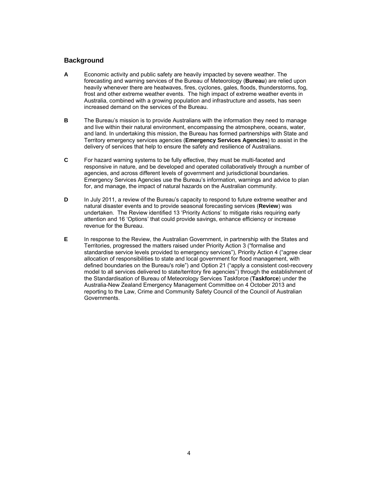## <span id="page-4-0"></span>**Background**

- forecasting and warning services of the Bureau of Meteorology (**Bureau**) are relied upon frost and other extreme weather events. The high impact of extreme weather events in Australia, combined with a growing population and infrastructure and assets, has seen increased demand on the services of the Bureau. **A** Economic activity and public safety are heavily impacted by severe weather. The heavily whenever there are heatwaves, fires, cyclones, gales, floods, thunderstorms, fog,
- **B** The Bureau's mission is to provide Australians with the information they need to manage and land. In undertaking this mission, the Bureau has formed partnerships with State and and live within their natural environment, encompassing the atmosphere, oceans, water, Territory emergency services agencies (**Emergency Services Agencies**) to assist in the delivery of services that help to ensure the safety and resilience of Australians.
- agencies, and across different levels of government and jurisdictional boundaries. agencies, and across different levels of government and jurisdictional boundaries.<br>Emergency Services Agencies use the Bureau's information, warnings and advice to plan for, and manage, the impact of natural hazards on the Australian community. **C**  For hazard warning systems to be fully effective, they must be multi-faceted and responsive in nature, and be developed and operated collaboratively through a number of
- **D** In July 2011, a review of the Bureau's capacity to respond to future extreme weather and undertaken. The Review identified 13 'Priority Actions' to mitigate risks requiring early attention and 16 'Options' that could provide savings, enhance efficiency or increase natural disaster events and to provide seasonal forecasting services (**Review**) was revenue for the Bureau.
- **E** In response to the Review, the Australian Government, in partnership with the States and Territories, progressed the matters raised under Priority Action 3 ("formalise and Australia-New Zealand Emergency Management Committee on 4 October 2013 and standardise service levels provided to emergency services"), Priority Action 4 ("agree clear allocation of responsibilities to state and local government for flood management, with defined boundaries on the Bureau's role") and Option 21 ("apply a consistent cost-recovery model to all services delivered to state/territory fire agencies") through the establishment of the Standardisation of Bureau of Meteorology Services Taskforce (**Taskforce**) under the reporting to the Law, Crime and Community Safety Council of the Council of Australian Governments.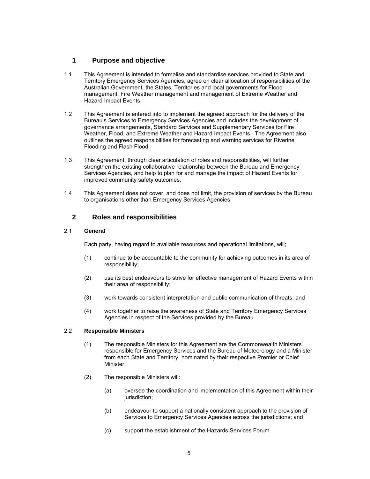## <span id="page-5-0"></span>**1 Purpose and objective**

- 1.1 This Agreement is intended to formalise and standardise services provided to State and Territory Emergency Services Agencies, agree on clear allocation of responsibilities of the Australian Government, the States, Territories and local governments for Flood Hazard Impact Events. management, Fire Weather management and management of Extreme Weather and
- Weather, Flood, and Extreme Weather and Hazard Impact Events. The Agreement also 1.2 This Agreement is entered into to implement the agreed approach for the delivery of the Bureau's Services to Emergency Services Agencies and includes the development of governance arrangements, Standard Services and Supplementary Services for Fire outlines the agreed responsibilities for forecasting and warning services for Riverine Flooding and Flash Flood.
- improved community safety outcomes. 1.3 This Agreement, through clear articulation of roles and responsibilities, will further strengthen the existing collaborative relationship between the Bureau and Emergency Services Agencies, and help to plan for and manage the impact of Hazard Events for
- to organisations other than Emergency Services Agencies. 1.4 This Agreement does not cover, and does not limit, the provision of services by the Bureau

## **2 Roles and responsibilities**

#### 2.1 **General**

Each party, having regard to available resources and operational limitations, will;

- (1) continue to be accountable to the community for achieving outcomes in its area of responsibility;
- (2) use its best endeavours to strive for effective management of Hazard Events within their area of responsibility;
- $(3)$ work towards consistent interpretation and public communication of threats; and
- $(4)$ work together to raise the awareness of State and Territory Emergency Services Agencies in respect of the Services provided by the Bureau.

#### 2.2 **Responsible Ministers**

- (1) The responsible Ministers for this Agreement are the Commonwealth Ministers responsible for Emergency Services and the Bureau of Meteorology and a Minister from each State and Territory, nominated by their respective Premier or Chief Minister.
- (2) The responsible Ministers will:
	- (a) oversee the coordination and implementation of this Agreement within their jurisdiction;
	- (b) endeavour to support a nationally consistent approach to the provision of Services to Emergency Services Agencies across the jurisdictions; and
	- (c) support the establishment of the Hazards Services Forum.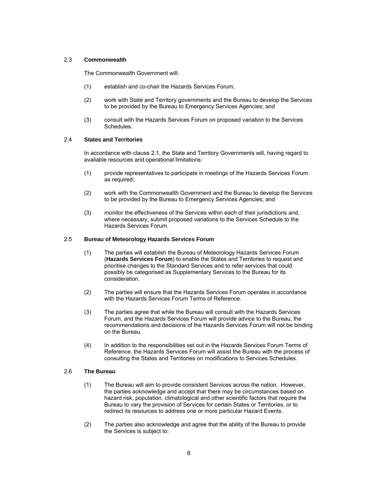#### 2.3 **Commonwealth**

The Commonwealth Government will:

- (1) establish and co-chair the Hazards Services Forum,
- $(2)$  to be provided by the Bureau to Emergency Services Agencies; and work with State and Territory governments and the Bureau to develop the Services
- (3) consult with the Hazards Services Forum on proposed variation to the Services Schedules.

#### 2.4 **States and Territories**

 In accordance with clause 2.1, the State and Territory Governments will, having regard to available resources and operational limitations:

- (1) provide representatives to participate in meetings of the Hazards Services Forum as required;
- $(2)$  to be provided by the Bureau to Emergency Services Agencies; and work with the Commonwealth Government and the Bureau to develop the Services
- where necessary, submit proposed variations to the Services Schedule to the (3) monitor the effectiveness of the Services within each of their jurisdictions and, Hazards Services Forum.

#### 2.5 **Bureau of Meteorology Hazards Services Forum**

- consideration (1) The parties will establish the Bureau of Meteorology Hazards Services Forum (**Hazards Services Forum**) to enable the States and Territories to request and prioritise changes to the Standard Services and to refer services that could possibly be categorised as Supplementary Services to the Bureau for its
- $(2)$ The parties will ensure that the Hazards Services Forum operates in accordance with the Hazards Services Forum Terms of Reference.
- (3) The parties agree that while the Bureau will consult with the Hazards Services on the Bureau. Forum, and the Hazards Services Forum will provide advice to the Bureau, the recommendations and decisions of the Hazards Services Forum will not be binding
- consulting the States and Territories on modifications to Services Schedules. (4) In addition to the responsibilities set out in the Hazards Services Forum Terms of Reference, the Hazards Services Forum will assist the Bureau with the process of

#### 2.6 **The Bureau**

- $(1)$  Bureau to vary the provision of Services for certain States or Territories, or to The Bureau will aim to provide consistent Services across the nation. However, the parties acknowledge and accept that there may be circumstances based on hazard risk, population, climatological and other scientific factors that require the redirect its resources to address one or more particular Hazard Events.
- (2) The parties also acknowledge and agree that the ability of the Bureau to provide the Services is subject to: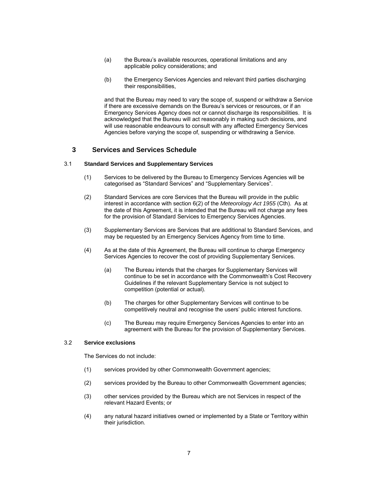- <span id="page-7-0"></span>(a) the Bureau's available resources, operational limitations and any applicable policy considerations; and
- (b) the Emergency Services Agencies and relevant third parties discharging their responsibilities,

 Emergency Services Agency does not or cannot discharge its responsibilities. It is and that the Bureau may need to vary the scope of, suspend or withdraw a Service if there are excessive demands on the Bureau's services or resources, or if an acknowledged that the Bureau will act reasonably in making such decisions, and will use reasonable endeavours to consult with any affected Emergency Services Agencies before varying the scope of, suspending or withdrawing a Service.

## **3 Services and Services Schedule**

#### 3.1 **Standard Services and Supplementary Services**

- (1) Services to be delivered by the Bureau to Emergency Services Agencies will be categorised as "Standard Services" and "Supplementary Services".
- interest in accordance with section 6(2) of the *Meteorology Act 1955* (Cth). As at (2) Standard Services are core Services that the Bureau will provide in the public the date of this Agreement, it is intended that the Bureau will not charge any fees for the provision of Standard Services to Emergency Services Agencies.
- may be requested by an Emergency Services Agency from time to time. (3) Supplementary Services are Services that are additional to Standard Services, and
- $(4)$ As at the date of this Agreement, the Bureau will continue to charge Emergency Services Agencies to recover the cost of providing Supplementary Services.
	- $(a)$ The Bureau intends that the charges for Supplementary Services will continue to be set in accordance with the Commonwealth's Cost Recovery Guidelines if the relevant Supplementary Service is not subject to competition (potential or actual).
	- $(b)$  competitively neutral and recognise the users' public interest functions. The charges for other Supplementary Services will continue to be
	- (c) The Bureau may require Emergency Services Agencies to enter into an agreement with the Bureau for the provision of Supplementary Services.

#### 3.2 **Service exclusions**

The Services do not include:

- (1) services provided by other Commonwealth Government agencies;
- (2) services provided by the Bureau to other Commonwealth Government agencies;
- (3) other services provided by the Bureau which are not Services in respect of the relevant Hazard Events; or
- (4) any natural hazard initiatives owned or implemented by a State or Territory within their jurisdiction.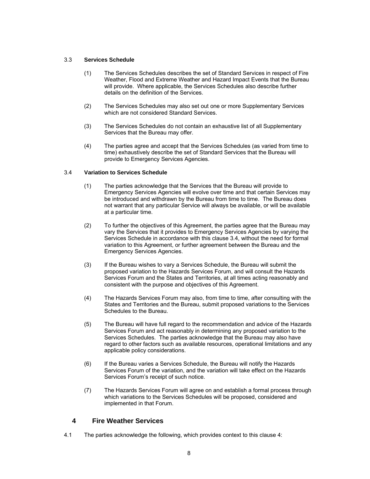#### <span id="page-8-0"></span>3.3 **Services Schedule**

- $(1)$  Weather, Flood and Extreme Weather and Hazard Impact Events that the Bureau details on the definition of the Services. The Services Schedules describes the set of Standard Services in respect of Fire will provide. Where applicable, the Services Schedules also describe further
- $(2)$ The Services Schedules may also set out one or more Supplementary Services which are not considered Standard Services.
- $(3)$ The Services Schedules do not contain an exhaustive list of all Supplementary Services that the Bureau may offer.
- $(4)$ The parties agree and accept that the Services Schedules (as varied from time to time) exhaustively describe the set of Standard Services that the Bureau will provide to Emergency Services Agencies.

#### 3.4 **Variation to Services Schedule**

- $(1)$  Emergency Services Agencies will evolve over time and that certain Services may be introduced and withdrawn by the Bureau from time to time. The Bureau does at a particular time. The parties acknowledge that the Services that the Bureau will provide to not warrant that any particular Service will always be available, or will be available
- vary the Services that it provides to Emergency Services Agencies by varying the Emergency Services Agencies. (2) To further the objectives of this Agreement, the parties agree that the Bureau may Services Schedule in accordance with this clause 3.4, without the need for formal variation to this Agreement, or further agreement between the Bureau and the
- (3) If the Bureau wishes to vary a Services Schedule, the Bureau will submit the proposed variation to the Hazards Services Forum, and will consult the Hazards Services Forum and the States and Territories, at all times acting reasonably and consistent with the purpose and objectives of this Agreement.
- $(4)$  States and Territories and the Bureau, submit proposed variations to the Services The Hazards Services Forum may also, from time to time, after consulting with the Schedules to the Bureau.
- $(5)$  Services Schedules. The parties acknowledge that the Bureau may also have regard to other factors such as available resources, operational limitations and any The Bureau will have full regard to the recommendation and advice of the Hazards Services Forum and act reasonably in determining any proposed variation to the applicable policy considerations.
- $(6)$ If the Bureau varies a Services Schedule, the Bureau will notify the Hazards Services Forum of the variation, and the variation will take effect on the Hazards Services Forum's receipt of such notice.
- (7) The Hazards Services Forum will agree on and establish a formal process through which variations to the Services Schedules will be proposed, considered and implemented in that Forum.

## **4 Fire Weather Services**

4.1 The parties acknowledge the following, which provides context to this clause 4: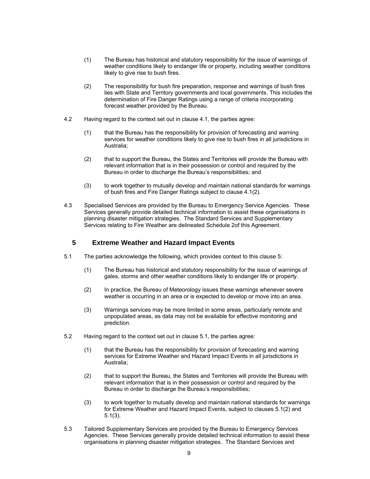- <span id="page-9-0"></span>(1) The Bureau has historical and statutory responsibility for the issue of warnings of weather conditions likely to endanger life or property, including weather conditions likely to give rise to bush fires.
- $(2)$  lies with State and Territory governments and local governments. This includes the The responsibility for bush fire preparation, response and warnings of bush fires determination of Fire Danger Ratings using a range of criteria incorporating forecast weather provided by the Bureau.
- 4.2 Having regard to the context set out in clause 4.1, the parties agree:
	- services for weather conditions likely to give rise to bush fires in all jurisdictions in Australia; (1) that the Bureau has the responsibility for provision of forecasting and warning
	- relevant information that is in their possession or control and required by the Bureau in order to discharge the Bureau's responsibilities; and (2) that to support the Bureau, the States and Territories will provide the Bureau with
	- (3) to work together to mutually develop and maintain national standards for warnings of bush fires and Fire Danger Ratings subject to clause 4.1(2).
- Services relating to Fire Weather are delineated Schedule 2of this Agreement. 4.3 Specialised Services are provided by the Bureau to Emergency Service Agencies. These Services generally provide detailed technical information to assist these organisations in planning disaster mitigation strategies. The Standard Services and Supplementary

## **5 Extreme Weather and Hazard Impact Events**

- 5.1 The parties acknowledge the following, which provides context to this clause 5:
	- $(1)$  gales, storms and other weather conditions likely to endanger life or property. The Bureau has historical and statutory responsibility for the issue of warnings of
	- weather is occurring in an area or is expected to develop or move into an area. (2) In practice, the Bureau of Meteorology issues these warnings whenever severe
	- (3) Warnings services may be more limited in some areas, particularly remote and unpopulated areas, as data may not be available for effective monitoring and prediction.
- 5.2 Having regard to the context set out in clause 5.1, the parties agree:
	- services for Extreme Weather and Hazard Impact Events in all jurisdictions in Australia: (1) that the Bureau has the responsibility for provision of forecasting and warning
	- relevant information that is in their possession or control and required by the Bureau in order to discharge the Bureau's responsibilities; (2) that to support the Bureau, the States and Territories will provide the Bureau with
	- for Extreme Weather and Hazard Impact Events, subject to clauses 5.1(2) and (3) to work together to mutually develop and maintain national standards for warnings 5.1(3).
- 5.3 Tailored Supplementary Services are provided by the Bureau to Emergency Services Agencies. These Services generally provide detailed technical information to assist these organisations in planning disaster mitigation strategies. The Standard Services and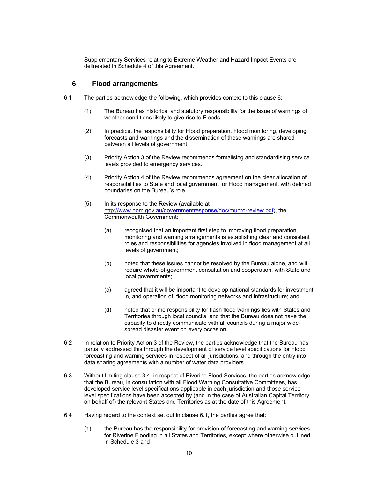<span id="page-10-0"></span> delineated in Schedule 4 of this Agreement. Supplementary Services relating to Extreme Weather and Hazard Impact Events are

### **6 Flood arrangements**

- 6.1 The parties acknowledge the following, which provides context to this clause 6:
	- weather conditions likely to give rise to Floods. (1) The Bureau has historical and statutory responsibility for the issue of warnings of
	- (2) In practice, the responsibility for Flood preparation, Flood monitoring, developing forecasts and warnings and the dissemination of these warnings are shared between all levels of government.
	- (3) Priority Action 3 of the Review recommends formalising and standardising service levels provided to emergency services.
	- (4) Priority Action 4 of the Review recommends agreement on the clear allocation of boundaries on the Bureau's role. responsibilities to State and local government for Flood management, with defined
	- (5) In its response to the Review (available at http://www.bom.gov.au/governmentresponse/doc/munro-review.pdf), the Commonwealth Government:
		- (a) recognised that an important first step to improving flood preparation, monitoring and warning arrangements is establishing clear and consistent roles and responsibilities for agencies involved in flood management at all levels of government;
		- require whole-of-government consultation and cooperation, with State and (b) noted that these issues cannot be resolved by the Bureau alone, and will local governments;
		- (c) agreed that it will be important to develop national standards for investment in, and operation of, flood monitoring networks and infrastructure; and
		- (d) noted that prime responsibility for flash flood warnings lies with States and Territories through local councils, and that the Bureau does not have the capacity to directly communicate with all councils during a major widespread disaster event on every occasion.
- data sharing agreements with a number of water data providers. 6.2 In relation to Priority Action 3 of the Review, the parties acknowledge that the Bureau has partially addressed this through the development of service level specifications for Flood forecasting and warning services in respect of all jurisdictions, and through the entry into
- 6.3 Without limiting clause 3.4, in respect of Riverine Flood Services, the parties acknowledge level specifications have been accepted by (and in the case of Australian Capital Territory, that the Bureau, in consultation with all Flood Warning Consultative Committees, has developed service level specifications applicable in each jurisdiction and those service on behalf of) the relevant States and Territories as at the date of this Agreement.
- 6.4 Having regard to the context set out in clause 6.1, the parties agree that:
	- (1) the Bureau has the responsibility for provision of forecasting and warning services for Riverine Flooding in all States and Territories, except where otherwise outlined in Schedule 3 and<br>10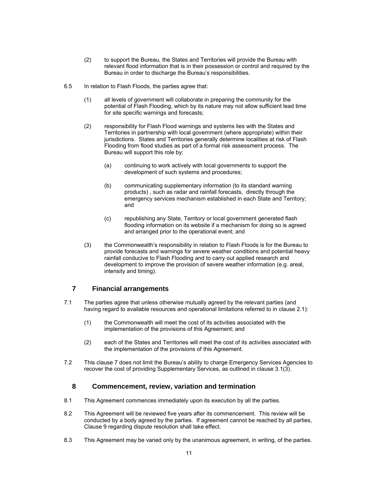- <span id="page-11-0"></span> (2) to support the Bureau, the States and Territories will provide the Bureau with relevant flood information that is in their possession or control and required by the Bureau in order to discharge the Bureau's responsibilities.
- 6.5 In relation to Flash Floods, the parties agree that:
	- (1) all levels of government will collaborate in preparing the community for the potential of Flash Flooding, which by its nature may not allow sufficient lead time for site specific warnings and forecasts;
	- (2) responsibility for Flash Flood warnings and systems lies with the States and Territories in partnership with local government (where appropriate) within their jurisdictions. States and Territories generally determine localities at risk of Flash Flooding from flood studies as part of a formal risk assessment process. The Bureau will support this role by:
		- (a) continuing to work actively with local governments to support the development of such systems and procedures;
		- emergency services mechanism established in each State and Territory; (b) communicating supplementary information (to its standard warning products) , such as radar and rainfall forecasts, directly through the and
		- flooding information on its website if a mechanism for doing so is agreed (c) republishing any State, Territory or local government generated flash and arranged prior to the operational event; and
	- provide forecasts and warnings for severe weather conditions and potential heavy rainfall conducive to Flash Flooding and to carry out applied research and development to improve the provision of severe weather information (e.g. areal, (3) the Commonwealth's responsibility in relation to Flash Floods is for the Bureau to intensity and timing).

## **7 Financial arrangements**

- 7.1 The parties agree that unless otherwise mutually agreed by the relevant parties (and having regard to available resources and operational limitations referred to in clause 2.1):
	- (1) the Commonwealth will meet the cost of its activities associated with the implementation of the provisions of this Agreement; and
	- (2) each of the States and Territories will meet the cost of its activities associated with the implementation of the provisions of this Agreement.
- 7.2 This clause 7 does not limit the Bureau's ability to charge Emergency Services Agencies to recover the cost of providing Supplementary Services, as outlined in clause 3.1(3).

## **8 Commencement, review, variation and termination**

- 8.1 This Agreement commences immediately upon its execution by all the parties.
- 8.2 This Agreement will be reviewed five years after its commencement. This review will be conducted by a body agreed by the parties. If agreement cannot be reached by all parties, Clause 9 regarding dispute resolution shall take effect.
- 8.3 This Agreement may be varied only by the unanimous agreement, in writing, of the parties.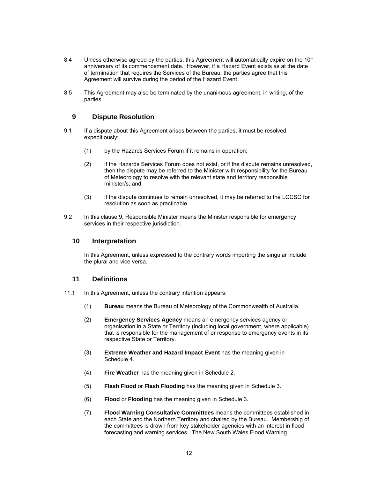- <span id="page-12-0"></span> anniversary of its commencement date. However, if a Hazard Event exists as at the date of termination that requires the Services of the Bureau, the parties agree that this 8.4 Unless otherwise agreed by the parties, this Agreement will automatically expire on the 10<sup>th</sup> Agreement will survive during the period of the Hazard Event.
- 8.5 This Agreement may also be terminated by the unanimous agreement, in writing, of the parties.

## **9 Dispute Resolution**

- 9.1 If a dispute about this Agreement arises between the parties, it must be resolved expeditiously:
	- $(1)$ by the Hazards Services Forum if it remains in operation;
	- then the dispute may be referred to the Minister with responsibility for the Bureau (2) if the Hazards Services Forum does not exist, or if the dispute remains unresolved, of Meteorology to resolve with the relevant state and territory responsible minister/s; and
	- (3) if the dispute continues to remain unresolved, it may be referred to the LCCSC for resolution as soon as practicable.
- 9.2 In this clause 9, Responsible Minister means the Minister responsible for emergency services in their respective jurisdiction.

## **10 Interpretation**

 the plural and vice versa. In this Agreement, unless expressed to the contrary words importing the singular include

## **11 Definitions**

- 11.1 In this Agreement, unless the contrary intention appears:
	- (1) **Bureau** means the Bureau of Meteorology of the Commonwealth of Australia.
	- (2) **Emergency Services Agency** means an emergency services agency or organisation in a State or Territory (including local government, where applicable) that is responsible for the management of or response to emergency events in its respective State or Territory.
	- (3) **Extreme Weather and Hazard Impact Event** has the meaning given in Schedule 4.
	- (4) **Fire Weather** has the meaning given in Schedule 2.
	- (5) **Flash Flood** or **Flash Flooding** has the meaning given in Schedule 3.
	- (6) **Flood** or **Flooding** has the meaning given in Schedule 3.
	- each State and the Northern Territory and chaired by the Bureau. Membership of the committees is drawn from key stakeholder agencies with an interest in flood forecasting and warning services. The New South Wales Flood Warning (7) **Flood Warning Consultative Committees** means the committees established in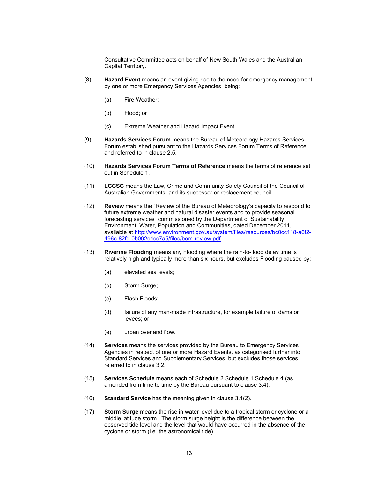Consultative Committee acts on behalf of New South Wales and the Australian Capital Territory.

- (8) **Hazard Event** means an event giving rise to the need for emergency management by one or more Emergency Services Agencies, being:
	- (a) Fire Weather;
	- (b) Flood; or
	- (c) Extreme Weather and Hazard Impact Event.
- Forum established pursuant to the Hazards Services Forum Terms of Reference, (9) **Hazards Services Forum** means the Bureau of Meteorology Hazards Services and referred to in clause 2.5.
- (10) **Hazards Services Forum Terms of Reference** means the terms of reference set out in Schedule 1.
- (11) **LCCSC** means the Law, Crime and Community Safety Council of the Council of Australian Governments, and its successor or replacement council.
- (12) **Review** means the "Review of the Bureau of Meteorology's capacity to respond to future extreme weather and natural disaster events and to provide seasonal forecasting services" commissioned by the Department of Sustainability, Environment, Water, Population and Communities, dated December 2011, available at http://www.environment.gov.au/system/files/resources/bc0cc118-a6f2-496c-82fd-0b092c4cc7a5/files/bom-review.pdf.
- (13) **Riverine Flooding** means any Flooding where the rain-to-flood delay time is relatively high and typically more than six hours, but excludes Flooding caused by:
	- (a) elevated sea levels;
	- (b) Storm Surge;
	- (c) Flash Floods;
	- $(d)$ failure of any man-made infrastructure, for example failure of dams or levees; or
	- (e) urban overland flow.
- (14) **Services** means the services provided by the Bureau to Emergency Services Agencies in respect of one or more Hazard Events, as categorised further into Standard Services and Supplementary Services, but excludes those services referred to in clause 3.2.
- (15) **Services Schedule** means each of Schedule 2 Schedule 1 Schedule 4 (as amended from time to time by the Bureau pursuant to clause 3.4).
- (16) **Standard Service** has the meaning given in clause 3.1(2).
- middle latitude storm. The storm surge height is the difference between the (17) **Storm Surge** means the rise in water level due to a tropical storm or cyclone or a observed tide level and the level that would have occurred in the absence of the cyclone or storm (i.e. the astronomical tide).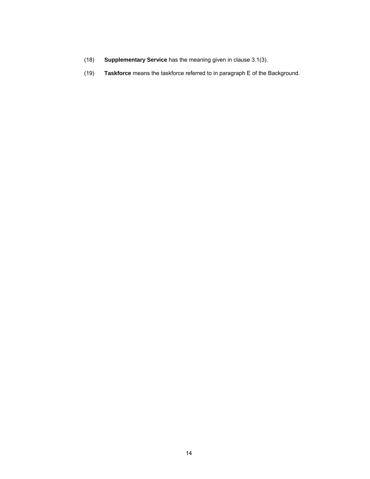- (18) **Supplementary Service** has the meaning given in clause 3.1(3).
- (19) **Taskforce** means the taskforce referred to in paragraph E of the Background.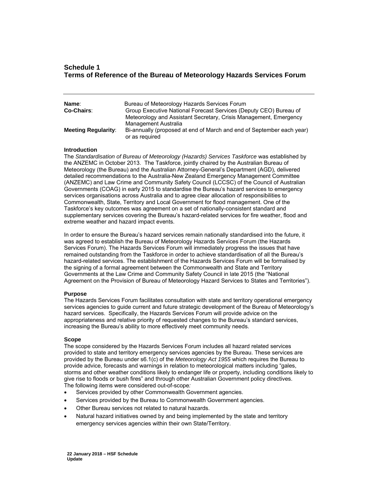## **Schedule 1 Terms of Reference of the Bureau of Meteorology Hazards Services Forum**

| Name:<br><b>Co-Chairs:</b> | Bureau of Meteorology Hazards Services Forum<br>Group Executive National Forecast Services (Deputy CEO) Bureau of<br>Meteorology and Assistant Secretary, Crisis Management, Emergency |  |
|----------------------------|----------------------------------------------------------------------------------------------------------------------------------------------------------------------------------------|--|
| <b>Meeting Regularity:</b> | Management Australia<br>Bi-annually (proposed at end of March and end of September each year)<br>or as required                                                                        |  |

#### **Introduction**

 the ANZEMC in October 2013. The Taskforce, jointly chaired by the Australian Bureau of Governments (COAG) in early 2015 to standardise the Bureau's hazard services to emergency Commonwealth, State, Territory and Local Government for flood management. One of the The *Standardisation of Bureau of Meteorology (Hazards) Services Taskforce* was established by Meteorology (the Bureau) and the Australian Attorney-General's Department (AGD), delivered detailed recommendations to the Australia-New Zealand Emergency Management Committee (ANZEMC) and Law Crime and Community Safety Council (LCCSC) of the Council of Australian services organisations across Australia and to agree clear allocation of responsibilities to Taskforce's key outcomes was agreement on a set of nationally-consistent standard and supplementary services covering the Bureau's hazard-related services for fire weather, flood and extreme weather and hazard impact events.

 In order to ensure the Bureau's hazard services remain nationally standardised into the future, it the signing of a formal agreement between the Commonwealth and State and Territory Agreement on the Provision of Bureau of Meteorology Hazard Services to States and Territories"). was agreed to establish the Bureau of Meteorology Hazards Services Forum (the Hazards Services Forum). The Hazards Services Forum will immediately progress the issues that have remained outstanding from the Taskforce in order to achieve standardisation of all the Bureau's hazard-related services. The establishment of the Hazards Services Forum will be formalised by Governments at the Law Crime and Community Safety Council in late 2015 (the "National

#### **Purpose**

 services agencies to guide current and future strategic development of the Bureau of Meteorology's hazard services. Specifically, the Hazards Services Forum will provide advice on the appropriateness and relative priority of requested changes to the Bureau's standard services, The Hazards Services Forum facilitates consultation with state and territory operational emergency increasing the Bureau's ability to more effectively meet community needs.

#### **Scope**

 provided to state and territory emergency services agencies by the Bureau. These services are give rise to floods or bush fires" and through other Australian Government policy directives. The scope considered by the Hazards Services Forum includes all hazard related services provided by the Bureau under s6.1(c) of the *Meteorology Act 1955* which requires the Bureau to provide advice, forecasts and warnings in relation to meteorological matters including "gales, storms and other weather conditions likely to endanger life or property, including conditions likely to The following items were considered out-of-scope*:*

- Services provided by other Commonwealth Government agencies.
- Services provided by the Bureau to Commonwealth Government agencies.
- Other Bureau services not related to natural hazards.
- Natural hazard initiatives owned by and being implemented by the state and territory emergency services agencies within their own State/Territory.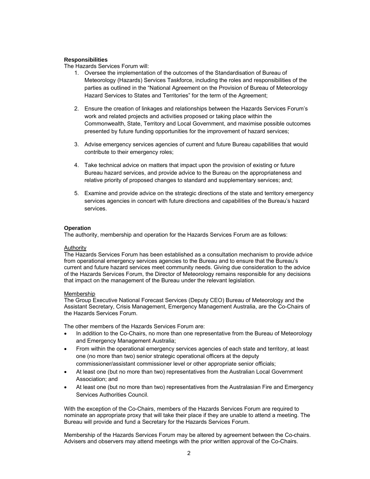#### **Responsibilities**

The Hazards Services Forum will:

- 1. Oversee the implementation of the outcomes of the Standardisation of Bureau of Hazard Services to States and Territories" for the term of the Agreement; Meteorology (Hazards) Services Taskforce, including the roles and responsibilities of the parties as outlined in the "National Agreement on the Provision of Bureau of Meteorology
- 2. Ensure the creation of linkages and relationships between the Hazards Services Forum's work and related projects and activities proposed or taking place within the Commonwealth, State, Territory and Local Government, and maximise possible outcomes presented by future funding opportunities for the improvement of hazard services;
- 3. Advise emergency services agencies of current and future Bureau capabilities that would contribute to their emergency roles;
- Bureau hazard services, and provide advice to the Bureau on the appropriateness and 4. Take technical advice on matters that impact upon the provision of existing or future relative priority of proposed changes to standard and supplementary services; and;
- 5. Examine and provide advice on the strategic directions of the state and territory emergency services agencies in concert with future directions and capabilities of the Bureau's hazard services.

#### **Operation**

The authority, membership and operation for the Hazards Services Forum are as follows:

#### Authority

 from operational emergency services agencies to the Bureau and to ensure that the Bureau's current and future hazard services meet community needs. Giving due consideration to the advice of the Hazards Services Forum, the Director of Meteorology remains responsible for any decisions The Hazards Services Forum has been established as a consultation mechanism to provide advice that impact on the management of the Bureau under the relevant legislation.

#### Membership

The Group Executive National Forecast Services (Deputy CEO) Bureau of Meteorology and the Assistant Secretary, Crisis Management, Emergency Management Australia, are the Co-Chairs of the Hazards Services Forum.

The other members of the Hazards Services Forum are:

- In addition to the Co-Chairs, no more than one representative from the Bureau of Meteorology and Emergency Management Australia;
- From within the operational emergency services agencies of each state and territory, at least one (no more than two) senior strategic operational officers at the deputy commissioner/assistant commissioner level or other appropriate senior officials;
- At least one (but no more than two) representatives from the Australian Local Government Association; and
- Services Authorities Council. At least one (but no more than two) representatives from the Australasian Fire and Emergency

 With the exception of the Co-Chairs, members of the Hazards Services Forum are required to Bureau will provide and fund a Secretary for the Hazards Services Forum. nominate an appropriate proxy that will take their place if they are unable to attend a meeting. The

 Membership of the Hazards Services Forum may be altered by agreement between the Co-chairs. Advisers and observers may attend meetings with the prior written approval of the Co-Chairs.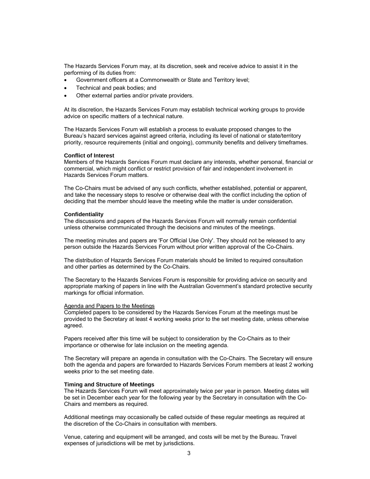performing of its duties from: The Hazards Services Forum may, at its discretion, seek and receive advice to assist it in the

- Government officers at a Commonwealth or State and Territory level;
- Technical and peak bodies; and
- Other external parties and/or private providers.

 At its discretion, the Hazards Services Forum may establish technical working groups to provide advice on specific matters of a technical nature.

 The Hazards Services Forum will establish a process to evaluate proposed changes to the Bureau's hazard services against agreed criteria, including its level of national or state/territory priority, resource requirements (initial and ongoing), community benefits and delivery timeframes.

#### **Conflict of Interest**

 commercial, which might conflict or restrict provision of fair and independent involvement in Members of the Hazards Services Forum must declare any interests, whether personal, financial or Hazards Services Forum matters.

 and take the necessary steps to resolve or otherwise deal with the conflict including the option of The Co-Chairs must be advised of any such conflicts, whether established, potential or apparent, deciding that the member should leave the meeting while the matter is under consideration.

#### **Confidentiality**

 The discussions and papers of the Hazards Services Forum will normally remain confidential unless otherwise communicated through the decisions and minutes of the meetings.

 person outside the Hazards Services Forum without prior written approval of the Co-Chairs. The meeting minutes and papers are 'For Official Use Only'. They should not be released to any

 and other parties as determined by the Co-Chairs. The distribution of Hazards Services Forum materials should be limited to required consultation

The Secretary to the Hazards Services Forum is responsible for providing advice on security and appropriate marking of papers in line with the Australian Government's standard protective security markings for official information.

#### Agenda and Papers to the Meetings

 provided to the Secretary at least 4 working weeks prior to the set meeting date, unless otherwise Completed papers to be considered by the Hazards Services Forum at the meetings must be agreed.

 Papers received after this time will be subject to consideration by the Co-Chairs as to their importance or otherwise for late inclusion on the meeting agenda.

 both the agenda and papers are forwarded to Hazards Services Forum members at least 2 working The Secretary will prepare an agenda in consultation with the Co-Chairs. The Secretary will ensure weeks prior to the set meeting date.

#### **Timing and Structure of Meetings**

 Chairs and members as required. The Hazards Services Forum will meet approximately twice per year in person. Meeting dates will be set in December each year for the following year by the Secretary in consultation with the Co-

 Additional meetings may occasionally be called outside of these regular meetings as required at the discretion of the Co-Chairs in consultation with members.

 expenses of jurisdictions will be met by jurisdictions. Venue, catering and equipment will be arranged, and costs will be met by the Bureau. Travel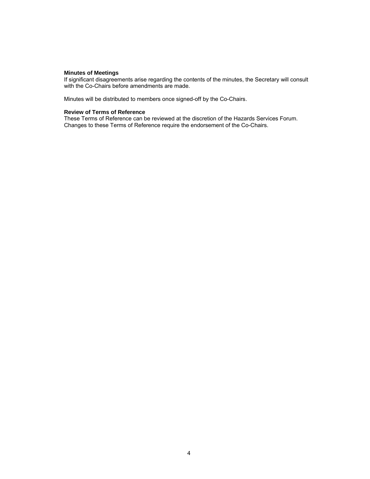#### **Minutes of Meetings**

If significant disagreements arise regarding the contents of the minutes, the Secretary will consult with the Co-Chairs before amendments are made.

Minutes will be distributed to members once signed-off by the Co-Chairs.

#### **Review of Terms of Reference**

 These Terms of Reference can be reviewed at the discretion of the Hazards Services Forum. Changes to these Terms of Reference require the endorsement of the Co-Chairs.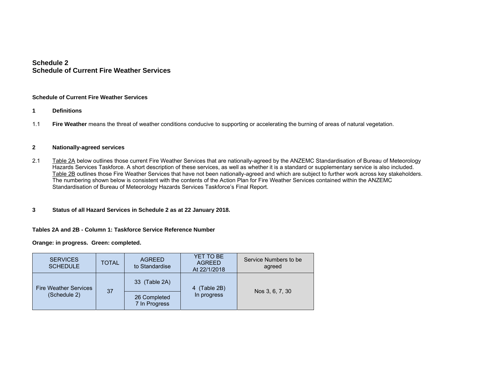## **Schedule 2 Schedule of Current Fire Weather Services**

#### **Schedule of Current Fire Weather Services**

- **1 Definitions**
- 1.1 **Fire Weather** means the threat of weather conditions conducive to supporting or accelerating the burning of areas of natural vegetation.

#### **2 Nationally-agreed services**

- 2.1 Table 2A below outlines those current Fire Weather Services that are nationally-agreed by the ANZEMC Standardisation of Bureau of Meteorology Hazards Services Taskforce. A short description of these services, as well as whether it is a standard or supplementary service is also included. Table 2B outlines those Fire Weather Services that have not been nationally-agreed and which are subject to further work across key stakeholders. The numbering shown below is consistent with the contents of the Action Plan for Fire Weather Services contained within the ANZEMC Standardisation of Bureau of Meteorology Hazards Services Taskforce's Final Report.
- **3Status of all Hazard Services in Schedule 2 as at 22 January 2018.**

#### **Tables 2A and 2B - Column 1: Taskforce Service Reference Number**

**Orange: in progress. Green: completed.** 

| <b>SERVICES</b><br><b>SCHEDULE</b> | <b>TOTAL</b> | <b>AGREED</b><br>to Standardise | YET TO BE<br><b>AGREED</b><br>At 22/1/2018 | Service Numbers to be<br>agreed |
|------------------------------------|--------------|---------------------------------|--------------------------------------------|---------------------------------|
| <b>Fire Weather Services</b>       | 37           | 33 (Table 2A)                   | (Table 2B)<br>In progress                  | Nos 3, 6, 7, 30                 |
| (Schedule 2)                       |              | 26 Completed<br>7 In Progress   |                                            |                                 |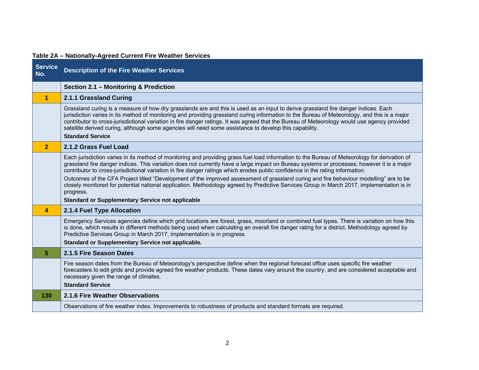| <b>Service</b><br>No. | <b>Description of the Fire Weather Services</b>                                                                                                                                                                                                                                                                                                                                                                                                                                                                                                                         |
|-----------------------|-------------------------------------------------------------------------------------------------------------------------------------------------------------------------------------------------------------------------------------------------------------------------------------------------------------------------------------------------------------------------------------------------------------------------------------------------------------------------------------------------------------------------------------------------------------------------|
|                       | Section 2.1 - Monitoring & Prediction                                                                                                                                                                                                                                                                                                                                                                                                                                                                                                                                   |
| 1                     | 2.1.1 Grassland Curing                                                                                                                                                                                                                                                                                                                                                                                                                                                                                                                                                  |
|                       | Grassland curing is a measure of how dry grasslands are and this is used as an input to derive grassland fire danger indices. Each<br>jurisdiction varies in its method of monitoring and providing grassland curing information to the Bureau of Meteorology, and this is a major<br>contributor to cross-jurisdictional variation in fire danger ratings. It was agreed that the Bureau of Meteorology would use agency provided<br>satellite derived curing, although some agencies will need some assistance to develop this capability.<br><b>Standard Service</b> |
| $\overline{2}$        | 2.1.2 Grass Fuel Load                                                                                                                                                                                                                                                                                                                                                                                                                                                                                                                                                   |
|                       | Each jurisdiction varies in its method of monitoring and providing grass fuel load information to the Bureau of Meteorology for derivation of<br>grassland fire danger indices. This variation does not currently have a large impact on Bureau systems or processes; however it is a major<br>contributor to cross-jurisdictional variation in fire danger ratings which erodes public confidence in the rating information.<br>Outcomes of the CFA Project titled "Development of the improved assessment of grassland curing and fire behaviour modelling" are to be |
|                       | closely monitored for potential national application. Methodology agreed by Predictive Services Group in March 2017, implementation is in<br>progress.<br><b>Standard or Supplementary Service not applicable</b>                                                                                                                                                                                                                                                                                                                                                       |
| 4                     | 2.1.4 Fuel Type Allocation                                                                                                                                                                                                                                                                                                                                                                                                                                                                                                                                              |
|                       | Emergency Services agencies define which grid locations are forest, grass, moorland or combined fuel types. There is variation on how this<br>is done, which results in different methods being used when calculating an overall fire danger rating for a district. Methodology agreed by<br>Predictive Services Group in March 2017, implementation is in progress.<br>Standard or Supplementary Service not applicable.                                                                                                                                               |
| 5.                    | 2.1.5 Fire Season Dates                                                                                                                                                                                                                                                                                                                                                                                                                                                                                                                                                 |
|                       | Fire season dates from the Bureau of Meteorology's perspective define when the regional forecast office uses specific fire weather<br>forecasters to edit grids and provide agreed fire weather products. These dates vary around the country, and are considered acceptable and<br>necessary given the range of climates.<br><b>Standard Service</b>                                                                                                                                                                                                                   |
| 130                   | 2.1.6 Fire Weather Observations                                                                                                                                                                                                                                                                                                                                                                                                                                                                                                                                         |
|                       | Observations of fire weather index. Improvements to robustness of products and standard formats are required.                                                                                                                                                                                                                                                                                                                                                                                                                                                           |

## **Table 2A – Nationally-Agreed Current Fire Weather Services**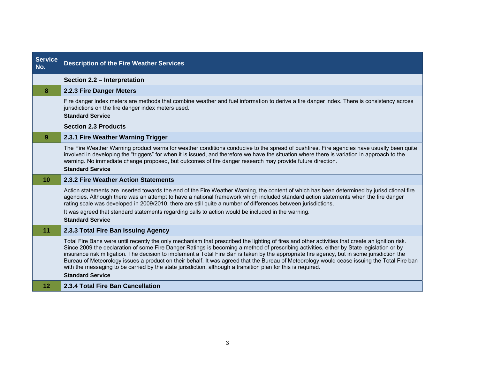| <b>Service</b><br>No. | <b>Description of the Fire Weather Services</b>                                                                                                                                                                                                                                                                                                                                                                                                                                                                                                                                                                                                                                                                                      |
|-----------------------|--------------------------------------------------------------------------------------------------------------------------------------------------------------------------------------------------------------------------------------------------------------------------------------------------------------------------------------------------------------------------------------------------------------------------------------------------------------------------------------------------------------------------------------------------------------------------------------------------------------------------------------------------------------------------------------------------------------------------------------|
|                       | Section 2.2 - Interpretation                                                                                                                                                                                                                                                                                                                                                                                                                                                                                                                                                                                                                                                                                                         |
| 8                     | 2.2.3 Fire Danger Meters                                                                                                                                                                                                                                                                                                                                                                                                                                                                                                                                                                                                                                                                                                             |
|                       | Fire danger index meters are methods that combine weather and fuel information to derive a fire danger index. There is consistency across<br>jurisdictions on the fire danger index meters used.                                                                                                                                                                                                                                                                                                                                                                                                                                                                                                                                     |
|                       | <b>Standard Service</b>                                                                                                                                                                                                                                                                                                                                                                                                                                                                                                                                                                                                                                                                                                              |
|                       | <b>Section 2.3 Products</b>                                                                                                                                                                                                                                                                                                                                                                                                                                                                                                                                                                                                                                                                                                          |
| 9                     | 2.3.1 Fire Weather Warning Trigger                                                                                                                                                                                                                                                                                                                                                                                                                                                                                                                                                                                                                                                                                                   |
|                       | The Fire Weather Warning product warns for weather conditions conducive to the spread of bushfires. Fire agencies have usually been quite<br>involved in developing the "triggers" for when it is issued, and therefore we have the situation where there is variation in approach to the<br>warning. No immediate change proposed, but outcomes of fire danger research may provide future direction.<br><b>Standard Service</b>                                                                                                                                                                                                                                                                                                    |
| 10                    | 2.3.2 Fire Weather Action Statements                                                                                                                                                                                                                                                                                                                                                                                                                                                                                                                                                                                                                                                                                                 |
|                       | Action statements are inserted towards the end of the Fire Weather Warning, the content of which has been determined by jurisdictional fire<br>agencies. Although there was an attempt to have a national framework which included standard action statements when the fire danger<br>rating scale was developed in 2009/2010, there are still quite a number of differences between jurisdictions.<br>It was agreed that standard statements regarding calls to action would be included in the warning.<br><b>Standard Service</b>                                                                                                                                                                                                 |
| 11                    | 2.3.3 Total Fire Ban Issuing Agency                                                                                                                                                                                                                                                                                                                                                                                                                                                                                                                                                                                                                                                                                                  |
|                       | Total Fire Bans were until recently the only mechanism that prescribed the lighting of fires and other activities that create an ignition risk.<br>Since 2009 the declaration of some Fire Danger Ratings is becoming a method of prescribing activities, either by State legislation or by<br>insurance risk mitigation. The decision to implement a Total Fire Ban is taken by the appropriate fire agency, but in some jurisdiction the<br>Bureau of Meteorology issues a product on their behalf. It was agreed that the Bureau of Meteorology would cease issuing the Total Fire ban<br>with the messaging to be carried by the state jurisdiction, although a transition plan for this is required.<br><b>Standard Service</b> |
| $12 \overline{ }$     | 2.3.4 Total Fire Ban Cancellation                                                                                                                                                                                                                                                                                                                                                                                                                                                                                                                                                                                                                                                                                                    |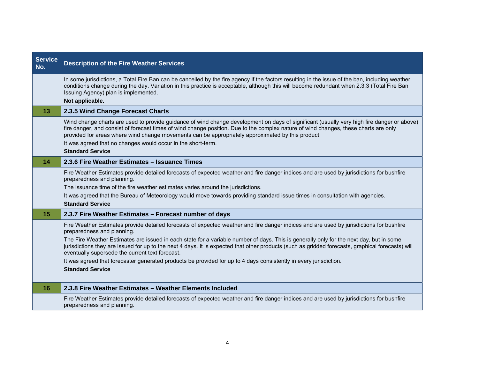| Service<br>No. | <b>Description of the Fire Weather Services</b>                                                                                                                                                                                                                                                                                                                                                                                                                                                                                                                                                                                                                           |
|----------------|---------------------------------------------------------------------------------------------------------------------------------------------------------------------------------------------------------------------------------------------------------------------------------------------------------------------------------------------------------------------------------------------------------------------------------------------------------------------------------------------------------------------------------------------------------------------------------------------------------------------------------------------------------------------------|
|                | In some jurisdictions, a Total Fire Ban can be cancelled by the fire agency if the factors resulting in the issue of the ban, including weather<br>conditions change during the day. Variation in this practice is acceptable, although this will become redundant when 2.3.3 (Total Fire Ban<br>Issuing Agency) plan is implemented.<br>Not applicable.                                                                                                                                                                                                                                                                                                                  |
| 13             | 2.3.5 Wind Change Forecast Charts                                                                                                                                                                                                                                                                                                                                                                                                                                                                                                                                                                                                                                         |
|                | Wind change charts are used to provide guidance of wind change development on days of significant (usually very high fire danger or above)<br>fire danger, and consist of forecast times of wind change position. Due to the complex nature of wind changes, these charts are only<br>provided for areas where wind change movements can be appropriately approximated by this product.<br>It was agreed that no changes would occur in the short-term.<br><b>Standard Service</b>                                                                                                                                                                                        |
| 14             | 2.3.6 Fire Weather Estimates - Issuance Times                                                                                                                                                                                                                                                                                                                                                                                                                                                                                                                                                                                                                             |
|                | Fire Weather Estimates provide detailed forecasts of expected weather and fire danger indices and are used by jurisdictions for bushfire<br>preparedness and planning.<br>The issuance time of the fire weather estimates varies around the jurisdictions.<br>It was agreed that the Bureau of Meteorology would move towards providing standard issue times in consultation with agencies.<br><b>Standard Service</b>                                                                                                                                                                                                                                                    |
| 15             | 2.3.7 Fire Weather Estimates - Forecast number of days                                                                                                                                                                                                                                                                                                                                                                                                                                                                                                                                                                                                                    |
|                | Fire Weather Estimates provide detailed forecasts of expected weather and fire danger indices and are used by jurisdictions for bushfire<br>preparedness and planning.<br>The Fire Weather Estimates are issued in each state for a variable number of days. This is generally only for the next day, but in some<br>jurisdictions they are issued for up to the next 4 days. It is expected that other products (such as gridded forecasts, graphical forecasts) will<br>eventually supersede the current text forecast.<br>It was agreed that forecaster generated products be provided for up to 4 days consistently in every jurisdiction.<br><b>Standard Service</b> |
| 16             | 2.3.8 Fire Weather Estimates - Weather Elements Included                                                                                                                                                                                                                                                                                                                                                                                                                                                                                                                                                                                                                  |
|                | Fire Weather Estimates provide detailed forecasts of expected weather and fire danger indices and are used by jurisdictions for bushfire<br>preparedness and planning.                                                                                                                                                                                                                                                                                                                                                                                                                                                                                                    |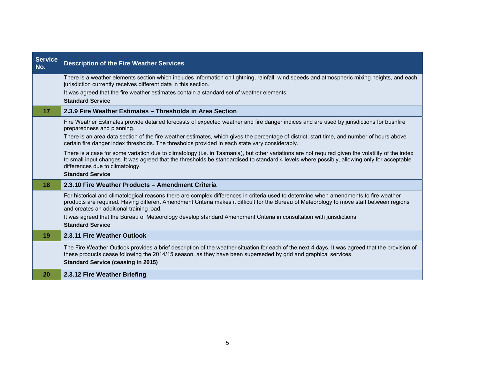| <b>Service</b><br>No. | <b>Description of the Fire Weather Services</b>                                                                                                                                                                                                                                                                                     |
|-----------------------|-------------------------------------------------------------------------------------------------------------------------------------------------------------------------------------------------------------------------------------------------------------------------------------------------------------------------------------|
|                       | There is a weather elements section which includes information on lightning, rainfall, wind speeds and atmospheric mixing heights, and each<br>jurisdiction currently receives different data in this section.                                                                                                                      |
|                       | It was agreed that the fire weather estimates contain a standard set of weather elements.<br><b>Standard Service</b>                                                                                                                                                                                                                |
| 17                    | 2.3.9 Fire Weather Estimates – Thresholds in Area Section                                                                                                                                                                                                                                                                           |
|                       | Fire Weather Estimates provide detailed forecasts of expected weather and fire danger indices and are used by jurisdictions for bushfire<br>preparedness and planning.                                                                                                                                                              |
|                       | There is an area data section of the fire weather estimates, which gives the percentage of district, start time, and number of hours above<br>certain fire danger index thresholds. The thresholds provided in each state vary considerably.                                                                                        |
|                       | There is a case for some variation due to climatology (i.e. in Tasmania), but other variations are not required given the volatility of the index<br>to small input changes. It was agreed that the thresholds be standardised to standard 4 levels where possibly, allowing only for acceptable<br>differences due to climatology. |
|                       | <b>Standard Service</b>                                                                                                                                                                                                                                                                                                             |
| 18                    | 2.3.10 Fire Weather Products - Amendment Criteria                                                                                                                                                                                                                                                                                   |
|                       | For historical and climatological reasons there are complex differences in criteria used to determine when amendments to fire weather<br>products are required. Having different Amendment Criteria makes it difficult for the Bureau of Meteorology to move staff between regions<br>and creates an additional training load.      |
|                       | It was agreed that the Bureau of Meteorology develop standard Amendment Criteria in consultation with jurisdictions.                                                                                                                                                                                                                |
|                       | <b>Standard Service</b>                                                                                                                                                                                                                                                                                                             |
| 19                    | 2.3.11 Fire Weather Outlook                                                                                                                                                                                                                                                                                                         |
|                       | The Fire Weather Outlook provides a brief description of the weather situation for each of the next 4 days. It was agreed that the provision of<br>these products cease following the 2014/15 season, as they have been superseded by grid and graphical services.<br><b>Standard Service (ceasing in 2015)</b>                     |
| 20                    | 2.3.12 Fire Weather Briefing                                                                                                                                                                                                                                                                                                        |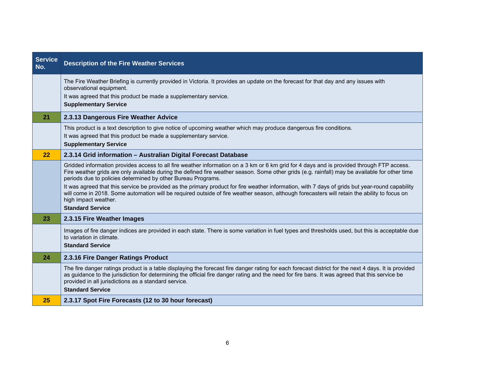| <b>Service</b><br>No. | <b>Description of the Fire Weather Services</b>                                                                                                                                                                                                                                                                                                                                                                                                                                                                                                                                                                                                                                                                   |
|-----------------------|-------------------------------------------------------------------------------------------------------------------------------------------------------------------------------------------------------------------------------------------------------------------------------------------------------------------------------------------------------------------------------------------------------------------------------------------------------------------------------------------------------------------------------------------------------------------------------------------------------------------------------------------------------------------------------------------------------------------|
|                       | The Fire Weather Briefing is currently provided in Victoria. It provides an update on the forecast for that day and any issues with<br>observational equipment.<br>It was agreed that this product be made a supplementary service.<br><b>Supplementary Service</b>                                                                                                                                                                                                                                                                                                                                                                                                                                               |
| 21                    | 2.3.13 Dangerous Fire Weather Advice                                                                                                                                                                                                                                                                                                                                                                                                                                                                                                                                                                                                                                                                              |
|                       | This product is a text description to give notice of upcoming weather which may produce dangerous fire conditions.<br>It was agreed that this product be made a supplementary service.<br><b>Supplementary Service</b>                                                                                                                                                                                                                                                                                                                                                                                                                                                                                            |
| 22                    | 2.3.14 Grid information - Australian Digital Forecast Database                                                                                                                                                                                                                                                                                                                                                                                                                                                                                                                                                                                                                                                    |
|                       | Gridded information provides access to all fire weather information on a 3 km or 6 km grid for 4 days and is provided through FTP access.<br>Fire weather grids are only available during the defined fire weather season. Some other grids (e.g. rainfall) may be available for other time<br>periods due to policies determined by other Bureau Programs.<br>It was agreed that this service be provided as the primary product for fire weather information, with 7 days of grids but year-round capability<br>will come in 2018. Some automation will be required outside of fire weather season, although forecasters will retain the ability to focus on<br>high impact weather.<br><b>Standard Service</b> |
| 23                    | 2.3.15 Fire Weather Images                                                                                                                                                                                                                                                                                                                                                                                                                                                                                                                                                                                                                                                                                        |
|                       | Images of fire danger indices are provided in each state. There is some variation in fuel types and thresholds used, but this is acceptable due<br>to variation in climate.<br><b>Standard Service</b>                                                                                                                                                                                                                                                                                                                                                                                                                                                                                                            |
| 24                    | 2.3.16 Fire Danger Ratings Product                                                                                                                                                                                                                                                                                                                                                                                                                                                                                                                                                                                                                                                                                |
|                       | The fire danger ratings product is a table displaying the forecast fire danger rating for each forecast district for the next 4 days. It is provided<br>as guidance to the jurisdiction for determining the official fire danger rating and the need for fire bans. It was agreed that this service be<br>provided in all jurisdictions as a standard service.<br><b>Standard Service</b>                                                                                                                                                                                                                                                                                                                         |
| 25                    | 2.3.17 Spot Fire Forecasts (12 to 30 hour forecast)                                                                                                                                                                                                                                                                                                                                                                                                                                                                                                                                                                                                                                                               |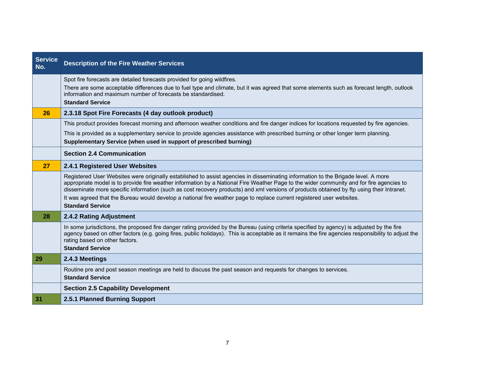| <b>Service</b><br>No. | <b>Description of the Fire Weather Services</b>                                                                                                                                                                                                                                                                                                                                                                                                                                                                                                                                |
|-----------------------|--------------------------------------------------------------------------------------------------------------------------------------------------------------------------------------------------------------------------------------------------------------------------------------------------------------------------------------------------------------------------------------------------------------------------------------------------------------------------------------------------------------------------------------------------------------------------------|
|                       | Spot fire forecasts are detailed forecasts provided for going wildfires.<br>There are some acceptable differences due to fuel type and climate, but it was agreed that some elements such as forecast length, outlook<br>information and maximum number of forecasts be standardised.<br><b>Standard Service</b>                                                                                                                                                                                                                                                               |
| 26                    | 2.3.18 Spot Fire Forecasts (4 day outlook product)                                                                                                                                                                                                                                                                                                                                                                                                                                                                                                                             |
|                       | This product provides forecast morning and afternoon weather conditions and fire danger indices for locations requested by fire agencies.                                                                                                                                                                                                                                                                                                                                                                                                                                      |
|                       | This is provided as a supplementary service to provide agencies assistance with prescribed burning or other longer term planning.<br>Supplementary Service (when used in support of prescribed burning)                                                                                                                                                                                                                                                                                                                                                                        |
|                       | <b>Section 2.4 Communication</b>                                                                                                                                                                                                                                                                                                                                                                                                                                                                                                                                               |
| <b>27</b>             | 2.4.1 Registered User Websites                                                                                                                                                                                                                                                                                                                                                                                                                                                                                                                                                 |
|                       | Registered User Websites were originally established to assist agencies in disseminating information to the Brigade level. A more<br>appropriate model is to provide fire weather information by a National Fire Weather Page to the wider community and for fire agencies to<br>disseminate more specific information (such as cost recovery products) and xml versions of products obtained by ftp using their Intranet.<br>It was agreed that the Bureau would develop a national fire weather page to replace current registered user websites.<br><b>Standard Service</b> |
| 28                    | 2.4.2 Rating Adjustment                                                                                                                                                                                                                                                                                                                                                                                                                                                                                                                                                        |
|                       | In some jurisdictions, the proposed fire danger rating provided by the Bureau (using criteria specified by agency) is adjusted by the fire<br>agency based on other factors (e.g. going fires, public holidays). This is acceptable as it remains the fire agencies responsibility to adjust the<br>rating based on other factors.<br><b>Standard Service</b>                                                                                                                                                                                                                  |
| 29                    | 2.4.3 Meetings                                                                                                                                                                                                                                                                                                                                                                                                                                                                                                                                                                 |
|                       | Routine pre and post season meetings are held to discuss the past season and requests for changes to services.<br><b>Standard Service</b>                                                                                                                                                                                                                                                                                                                                                                                                                                      |
|                       | <b>Section 2.5 Capability Development</b>                                                                                                                                                                                                                                                                                                                                                                                                                                                                                                                                      |
| 31                    | 2.5.1 Planned Burning Support                                                                                                                                                                                                                                                                                                                                                                                                                                                                                                                                                  |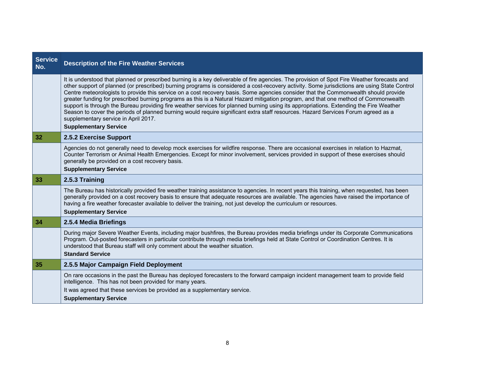| <b>Service</b><br>No. | <b>Description of the Fire Weather Services</b>                                                                                                                                                                                                                                                                                                                                                                                                                                                                                                                                                                                                                                                                                                                                                                                                                                                                                  |
|-----------------------|----------------------------------------------------------------------------------------------------------------------------------------------------------------------------------------------------------------------------------------------------------------------------------------------------------------------------------------------------------------------------------------------------------------------------------------------------------------------------------------------------------------------------------------------------------------------------------------------------------------------------------------------------------------------------------------------------------------------------------------------------------------------------------------------------------------------------------------------------------------------------------------------------------------------------------|
|                       | It is understood that planned or prescribed burning is a key deliverable of fire agencies. The provision of Spot Fire Weather forecasts and<br>other support of planned (or prescribed) burning programs is considered a cost-recovery activity. Some jurisdictions are using State Control<br>Centre meteorologists to provide this service on a cost recovery basis. Some agencies consider that the Commonwealth should provide<br>greater funding for prescribed burning programs as this is a Natural Hazard mitigation program, and that one method of Commonwealth<br>support is through the Bureau providing fire weather services for planned burning using its appropriations. Extending the Fire Weather<br>Season to cover the periods of planned burning would require significant extra staff resources. Hazard Services Forum agreed as a<br>supplementary service in April 2017.<br><b>Supplementary Service</b> |
| 32                    | 2.5.2 Exercise Support                                                                                                                                                                                                                                                                                                                                                                                                                                                                                                                                                                                                                                                                                                                                                                                                                                                                                                           |
|                       | Agencies do not generally need to develop mock exercises for wildfire response. There are occasional exercises in relation to Hazmat,<br>Counter Terrorism or Animal Health Emergencies. Except for minor involvement, services provided in support of these exercises should<br>generally be provided on a cost recovery basis.<br><b>Supplementary Service</b>                                                                                                                                                                                                                                                                                                                                                                                                                                                                                                                                                                 |
| 33                    | 2.5.3 Training                                                                                                                                                                                                                                                                                                                                                                                                                                                                                                                                                                                                                                                                                                                                                                                                                                                                                                                   |
|                       | The Bureau has historically provided fire weather training assistance to agencies. In recent years this training, when requested, has been<br>generally provided on a cost recovery basis to ensure that adequate resources are available. The agencies have raised the importance of<br>having a fire weather forecaster available to deliver the training, not just develop the curriculum or resources.<br><b>Supplementary Service</b>                                                                                                                                                                                                                                                                                                                                                                                                                                                                                       |
| 34                    | 2.5.4 Media Briefings                                                                                                                                                                                                                                                                                                                                                                                                                                                                                                                                                                                                                                                                                                                                                                                                                                                                                                            |
|                       | During major Severe Weather Events, including major bushfires, the Bureau provides media briefings under its Corporate Communications<br>Program. Out-posted forecasters in particular contribute through media briefings held at State Control or Coordination Centres. It is<br>understood that Bureau staff will only comment about the weather situation.<br><b>Standard Service</b>                                                                                                                                                                                                                                                                                                                                                                                                                                                                                                                                         |
| 35                    | 2.5.5 Major Campaign Field Deployment                                                                                                                                                                                                                                                                                                                                                                                                                                                                                                                                                                                                                                                                                                                                                                                                                                                                                            |
|                       | On rare occasions in the past the Bureau has deployed forecasters to the forward campaign incident management team to provide field<br>intelligence. This has not been provided for many years.<br>It was agreed that these services be provided as a supplementary service.                                                                                                                                                                                                                                                                                                                                                                                                                                                                                                                                                                                                                                                     |
|                       | <b>Supplementary Service</b>                                                                                                                                                                                                                                                                                                                                                                                                                                                                                                                                                                                                                                                                                                                                                                                                                                                                                                     |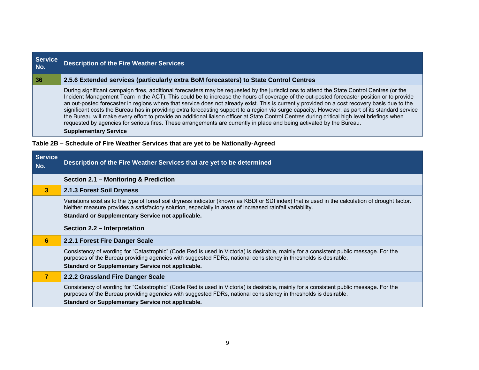| <b>Service</b><br>No. | <b>Description of the Fire Weather Services</b>                                                                                                                                                                                                                                                                                                                                                                                                                                                                                                                                                                                                                                                                                                                                                                                                                                                         |
|-----------------------|---------------------------------------------------------------------------------------------------------------------------------------------------------------------------------------------------------------------------------------------------------------------------------------------------------------------------------------------------------------------------------------------------------------------------------------------------------------------------------------------------------------------------------------------------------------------------------------------------------------------------------------------------------------------------------------------------------------------------------------------------------------------------------------------------------------------------------------------------------------------------------------------------------|
| 36                    | 2.5.6 Extended services (particularly extra BoM forecasters) to State Control Centres                                                                                                                                                                                                                                                                                                                                                                                                                                                                                                                                                                                                                                                                                                                                                                                                                   |
|                       | During significant campaign fires, additional forecasters may be requested by the jurisdictions to attend the State Control Centres (or the<br>Incident Management Team in the ACT). This could be to increase the hours of coverage of the out-posted forecaster position or to provide<br>an out-posted forecaster in regions where that service does not already exist. This is currently provided on a cost recovery basis due to the<br>significant costs the Bureau has in providing extra forecasting support to a region via surge capacity. However, as part of its standard service<br>the Bureau will make every effort to provide an additional liaison officer at State Control Centres during critical high level briefings when<br>requested by agencies for serious fires. These arrangements are currently in place and being activated by the Bureau.<br><b>Supplementary Service</b> |

# **Table 2B – Schedule of Fire Weather Services that are yet to be Nationally-Agreed**

| <b>Service</b><br>No. | Description of the Fire Weather Services that are yet to be determined                                                                                                                                                                                                                                            |
|-----------------------|-------------------------------------------------------------------------------------------------------------------------------------------------------------------------------------------------------------------------------------------------------------------------------------------------------------------|
|                       | Section 2.1 - Monitoring & Prediction                                                                                                                                                                                                                                                                             |
| 3 <sup>2</sup>        | 2.1.3 Forest Soil Dryness                                                                                                                                                                                                                                                                                         |
|                       | Variations exist as to the type of forest soil dryness indicator (known as KBDI or SDI index) that is used in the calculation of drought factor.<br>Neither measure provides a satisfactory solution, especially in areas of increased rainfall variability.<br>Standard or Supplementary Service not applicable. |
|                       | Section 2.2 – Interpretation                                                                                                                                                                                                                                                                                      |
| 6                     | 2.2.1 Forest Fire Danger Scale                                                                                                                                                                                                                                                                                    |
|                       | Consistency of wording for "Catastrophic" (Code Red is used in Victoria) is desirable, mainly for a consistent public message. For the<br>purposes of the Bureau providing agencies with suggested FDRs, national consistency in thresholds is desirable.<br>Standard or Supplementary Service not applicable.    |
| $\overline{7}$        | 2.2.2 Grassland Fire Danger Scale                                                                                                                                                                                                                                                                                 |
|                       | Consistency of wording for "Catastrophic" (Code Red is used in Victoria) is desirable, mainly for a consistent public message. For the<br>purposes of the Bureau providing agencies with suggested FDRs, national consistency in thresholds is desirable.<br>Standard or Supplementary Service not applicable.    |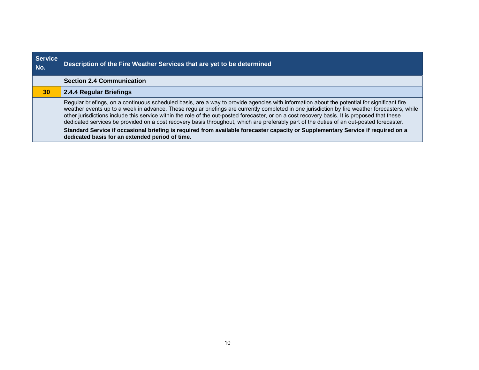| <b>Service</b><br>No. | Description of the Fire Weather Services that are yet to be determined                                                                                                                                                                                                                                                                                                                                                                                                                                                                                                                                                                                                                                                                                                            |
|-----------------------|-----------------------------------------------------------------------------------------------------------------------------------------------------------------------------------------------------------------------------------------------------------------------------------------------------------------------------------------------------------------------------------------------------------------------------------------------------------------------------------------------------------------------------------------------------------------------------------------------------------------------------------------------------------------------------------------------------------------------------------------------------------------------------------|
|                       | <b>Section 2.4 Communication</b>                                                                                                                                                                                                                                                                                                                                                                                                                                                                                                                                                                                                                                                                                                                                                  |
| 30                    | 2.4.4 Regular Briefings                                                                                                                                                                                                                                                                                                                                                                                                                                                                                                                                                                                                                                                                                                                                                           |
|                       | Regular briefings, on a continuous scheduled basis, are a way to provide agencies with information about the potential for significant fire<br>weather events up to a week in advance. These regular briefings are currently completed in one jurisdiction by fire weather forecasters, while<br>other jurisdictions include this service within the role of the out-posted forecaster, or on a cost recovery basis. It is proposed that these<br>dedicated services be provided on a cost recovery basis throughout, which are preferably part of the duties of an out-posted forecaster.<br>Standard Service if occasional briefing is required from available forecaster capacity or Supplementary Service if required on a<br>dedicated basis for an extended period of time. |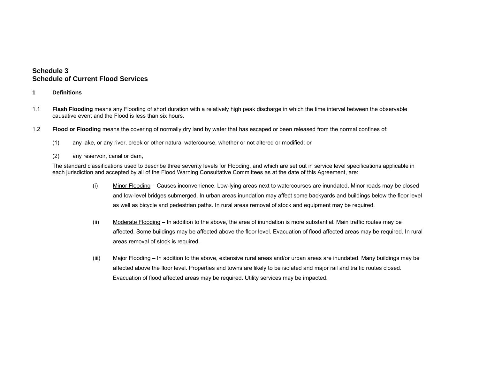## **Schedule 3 Schedule of Current Flood Services**

- **1 Definitions**
- 1.1 **Flash Flooding** means any Flooding of short duration with a relatively high peak discharge in which the time interval between the observable causative event and the Flood is less than six hours.
- 1.2 **Flood or Flooding** means the covering of normally dry land by water that has escaped or been released from the normal confines of:
	- (1) any lake, or any river, creek or other natural watercourse, whether or not altered or modified; or
	- (2) any reservoir, canal or dam,

The standard classifications used to describe three severity levels for Flooding, and which are set out in service level specifications applicable in each jurisdiction and accepted by all of the Flood Warning Consultative Committees as at the date of this Agreement, are:

- (i) Minor Flooding Causes inconvenience. Low-lying areas next to watercourses are inundated. Minor roads may be closed and low-level bridges submerged. In urban areas inundation may affect some backyards and buildings below the floor level as well as bicycle and pedestrian paths. In rural areas removal of stock and equipment may be required.
- (ii) Moderate Flooding In addition to the above, the area of inundation is more substantial. Main traffic routes may be affected. Some buildings may be affected above the floor level. Evacuation of flood affected areas may be required. In rural areas removal of stock is required.
- (iii) Major Flooding In addition to the above, extensive rural areas and/or urban areas are inundated. Many buildings may be affected above the floor level. Properties and towns are likely to be isolated and major rail and traffic routes closed. Evacuation of flood affected areas may be required. Utility services may be impacted.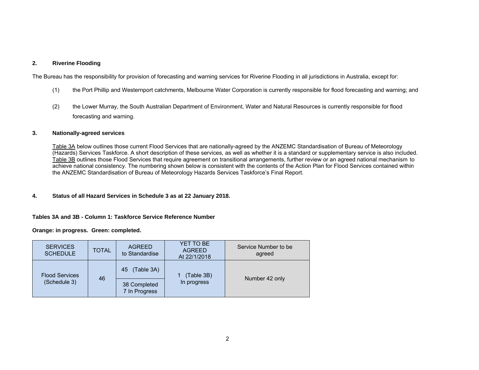#### **2. Riverine Flooding**

The Bureau has the responsibility for provision of forecasting and warning services for Riverine Flooding in all jurisdictions in Australia, except for:

- (1) the Port Phillip and Westernport catchments, Melbourne Water Corporation is currently responsible for flood forecasting and warning; and
- (2) the Lower Murray, the South Australian Department of Environment, Water and Natural Resources is currently responsible for flood forecasting and warning.

#### **3. Nationally-agreed services**

Table 3A below outlines those current Flood Services that are nationally-agreed by the ANZEMC Standardisation of Bureau of Meteorology (Hazards) Services Taskforce. A short description of these services, as well as whether it is a standard or supplementary service is also included. Table 3B outlines those Flood Services that require agreement on transitional arrangements, further review or an agreed national mechanism to achieve national consistency. The numbering shown below is consistent with the contents of the Action Plan for Flood Services contained within the ANZEMC Standardisation of Bureau of Meteorology Hazards Services Taskforce's Final Report.

#### **4. Status of all Hazard Services in Schedule 3 as at 22 January 2018.**

#### **Tables 3A and 3B - Column 1: Taskforce Service Reference Number**

**Orange: in progress. Green: completed.** 

| <b>SERVICES</b><br><b>SCHEDULE</b> | <b>TOTAL</b> | <b>AGREED</b><br>to Standardise | YET TO BE<br><b>AGREED</b><br>At 22/1/2018 | Service Number to be<br>agreed |
|------------------------------------|--------------|---------------------------------|--------------------------------------------|--------------------------------|
| <b>Flood Services</b>              | 46           | (Table 3A)<br>45                | (Table 3B)                                 |                                |
| (Schedule 3)                       |              | 38 Completed<br>7 In Progress   | In progress                                | Number 42 only                 |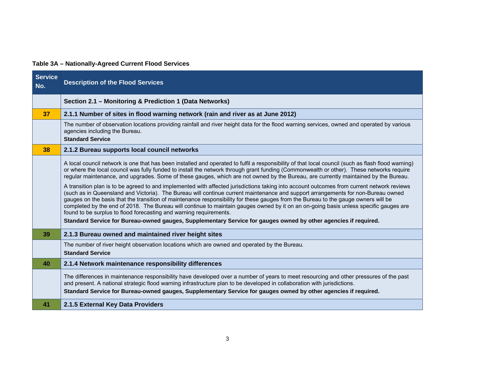# **Table 3A – Nationally-Agreed Current Flood Services**

| <b>Service</b><br>No. | <b>Description of the Flood Services</b>                                                                                                                                                                                                                                                                                                                                                                                                                                                                                                                                                                                            |
|-----------------------|-------------------------------------------------------------------------------------------------------------------------------------------------------------------------------------------------------------------------------------------------------------------------------------------------------------------------------------------------------------------------------------------------------------------------------------------------------------------------------------------------------------------------------------------------------------------------------------------------------------------------------------|
|                       | Section 2.1 - Monitoring & Prediction 1 (Data Networks)                                                                                                                                                                                                                                                                                                                                                                                                                                                                                                                                                                             |
| 37                    | 2.1.1 Number of sites in flood warning network (rain and river as at June 2012)                                                                                                                                                                                                                                                                                                                                                                                                                                                                                                                                                     |
|                       | The number of observation locations providing rainfall and river height data for the flood warning services, owned and operated by various<br>agencies including the Bureau.<br><b>Standard Service</b>                                                                                                                                                                                                                                                                                                                                                                                                                             |
| 38                    | 2.1.2 Bureau supports local council networks                                                                                                                                                                                                                                                                                                                                                                                                                                                                                                                                                                                        |
|                       | A local council network is one that has been installed and operated to fulfil a responsibility of that local council (such as flash flood warning)<br>or where the local council was fully funded to install the network through grant funding (Commonwealth or other). These networks require<br>regular maintenance, and upgrades. Some of these gauges, which are not owned by the Bureau, are currently maintained by the Bureau.                                                                                                                                                                                               |
|                       | A transition plan is to be agreed to and implemented with affected jurisdictions taking into account outcomes from current network reviews<br>(such as in Queensland and Victoria). The Bureau will continue current maintenance and support arrangements for non-Bureau owned<br>gauges on the basis that the transition of maintenance responsibility for these gauges from the Bureau to the gauge owners will be<br>completed by the end of 2018. The Bureau will continue to maintain gauges owned by it on an on-going basis unless specific gauges are<br>found to be surplus to flood forecasting and warning requirements. |
|                       | Standard Service for Bureau-owned gauges, Supplementary Service for gauges owned by other agencies if required.                                                                                                                                                                                                                                                                                                                                                                                                                                                                                                                     |
| 39                    | 2.1.3 Bureau owned and maintained river height sites                                                                                                                                                                                                                                                                                                                                                                                                                                                                                                                                                                                |
|                       | The number of river height observation locations which are owned and operated by the Bureau.<br><b>Standard Service</b>                                                                                                                                                                                                                                                                                                                                                                                                                                                                                                             |
| 40                    | 2.1.4 Network maintenance responsibility differences                                                                                                                                                                                                                                                                                                                                                                                                                                                                                                                                                                                |
|                       | The differences in maintenance responsibility have developed over a number of years to meet resourcing and other pressures of the past<br>and present. A national strategic flood warning infrastructure plan to be developed in collaboration with jurisdictions.                                                                                                                                                                                                                                                                                                                                                                  |
|                       | Standard Service for Bureau-owned gauges, Supplementary Service for gauges owned by other agencies if required.                                                                                                                                                                                                                                                                                                                                                                                                                                                                                                                     |
| 41                    | 2.1.5 External Key Data Providers                                                                                                                                                                                                                                                                                                                                                                                                                                                                                                                                                                                                   |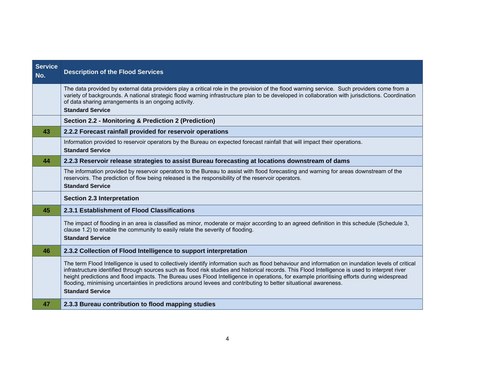| <b>Service</b><br>No. | <b>Description of the Flood Services</b>                                                                                                                                                                                                                                                                                                                                                                                                                                                                                                                                                           |
|-----------------------|----------------------------------------------------------------------------------------------------------------------------------------------------------------------------------------------------------------------------------------------------------------------------------------------------------------------------------------------------------------------------------------------------------------------------------------------------------------------------------------------------------------------------------------------------------------------------------------------------|
|                       | The data provided by external data providers play a critical role in the provision of the flood warning service. Such providers come from a<br>variety of backgrounds. A national strategic flood warning infrastructure plan to be developed in collaboration with jurisdictions. Coordination<br>of data sharing arrangements is an ongoing activity.<br><b>Standard Service</b>                                                                                                                                                                                                                 |
|                       | Section 2.2 - Monitoring & Prediction 2 (Prediction)                                                                                                                                                                                                                                                                                                                                                                                                                                                                                                                                               |
| 43                    | 2.2.2 Forecast rainfall provided for reservoir operations                                                                                                                                                                                                                                                                                                                                                                                                                                                                                                                                          |
|                       | Information provided to reservoir operators by the Bureau on expected forecast rainfall that will impact their operations.<br><b>Standard Service</b>                                                                                                                                                                                                                                                                                                                                                                                                                                              |
| 44                    | 2.2.3 Reservoir release strategies to assist Bureau forecasting at locations downstream of dams                                                                                                                                                                                                                                                                                                                                                                                                                                                                                                    |
|                       | The information provided by reservoir operators to the Bureau to assist with flood forecasting and warning for areas downstream of the<br>reservoirs. The prediction of flow being released is the responsibility of the reservoir operators.<br><b>Standard Service</b>                                                                                                                                                                                                                                                                                                                           |
|                       | <b>Section 2.3 Interpretation</b>                                                                                                                                                                                                                                                                                                                                                                                                                                                                                                                                                                  |
| 45                    | 2.3.1 Establishment of Flood Classifications                                                                                                                                                                                                                                                                                                                                                                                                                                                                                                                                                       |
|                       | The impact of flooding in an area is classified as minor, moderate or major according to an agreed definition in this schedule (Schedule 3,<br>clause 1.2) to enable the community to easily relate the severity of flooding.<br><b>Standard Service</b>                                                                                                                                                                                                                                                                                                                                           |
| 46                    | 2.3.2 Collection of Flood Intelligence to support interpretation                                                                                                                                                                                                                                                                                                                                                                                                                                                                                                                                   |
|                       | The term Flood Intelligence is used to collectively identify information such as flood behaviour and information on inundation levels of critical<br>infrastructure identified through sources such as flood risk studies and historical records. This Flood Intelligence is used to interpret river<br>height predictions and flood impacts. The Bureau uses Flood Intelligence in operations, for example prioritising efforts during widespread<br>flooding, minimising uncertainties in predictions around levees and contributing to better situational awareness.<br><b>Standard Service</b> |
| 47                    | 2.3.3 Bureau contribution to flood mapping studies                                                                                                                                                                                                                                                                                                                                                                                                                                                                                                                                                 |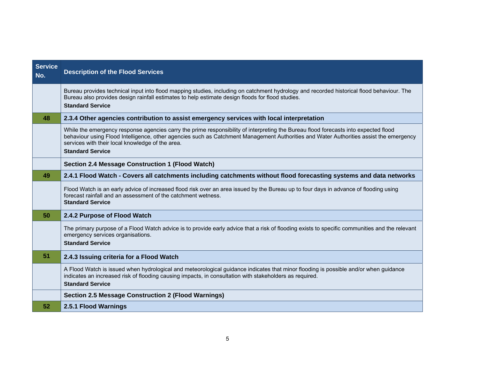| <b>Service</b><br>No. | <b>Description of the Flood Services</b>                                                                                                                                                                                                                                                                                                                     |
|-----------------------|--------------------------------------------------------------------------------------------------------------------------------------------------------------------------------------------------------------------------------------------------------------------------------------------------------------------------------------------------------------|
|                       | Bureau provides technical input into flood mapping studies, including on catchment hydrology and recorded historical flood behaviour. The<br>Bureau also provides design rainfall estimates to help estimate design floods for flood studies.<br><b>Standard Service</b>                                                                                     |
| 48                    | 2.3.4 Other agencies contribution to assist emergency services with local interpretation                                                                                                                                                                                                                                                                     |
|                       | While the emergency response agencies carry the prime responsibility of interpreting the Bureau flood forecasts into expected flood<br>behaviour using Flood Intelligence, other agencies such as Catchment Management Authorities and Water Authorities assist the emergency<br>services with their local knowledge of the area.<br><b>Standard Service</b> |
|                       | <b>Section 2.4 Message Construction 1 (Flood Watch)</b>                                                                                                                                                                                                                                                                                                      |
| 49                    | 2.4.1 Flood Watch - Covers all catchments including catchments without flood forecasting systems and data networks                                                                                                                                                                                                                                           |
|                       | Flood Watch is an early advice of increased flood risk over an area issued by the Bureau up to four days in advance of flooding using<br>forecast rainfall and an assessment of the catchment wetness.<br><b>Standard Service</b>                                                                                                                            |
| 50                    | 2.4.2 Purpose of Flood Watch                                                                                                                                                                                                                                                                                                                                 |
|                       | The primary purpose of a Flood Watch advice is to provide early advice that a risk of flooding exists to specific communities and the relevant<br>emergency services organisations.<br><b>Standard Service</b>                                                                                                                                               |
| 51                    | 2.4.3 Issuing criteria for a Flood Watch                                                                                                                                                                                                                                                                                                                     |
|                       | A Flood Watch is issued when hydrological and meteorological guidance indicates that minor flooding is possible and/or when guidance<br>indicates an increased risk of flooding causing impacts, in consultation with stakeholders as required.<br><b>Standard Service</b>                                                                                   |
|                       | <b>Section 2.5 Message Construction 2 (Flood Warnings)</b>                                                                                                                                                                                                                                                                                                   |
| 52                    | 2.5.1 Flood Warnings                                                                                                                                                                                                                                                                                                                                         |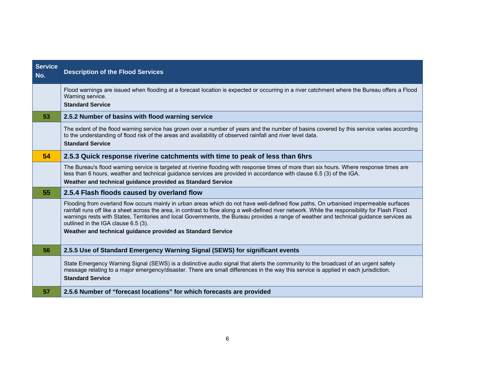| <b>Service</b><br>No. | <b>Description of the Flood Services</b>                                                                                                                                                                                                                                                                                                                                                                                                                                                                                                    |
|-----------------------|---------------------------------------------------------------------------------------------------------------------------------------------------------------------------------------------------------------------------------------------------------------------------------------------------------------------------------------------------------------------------------------------------------------------------------------------------------------------------------------------------------------------------------------------|
|                       | Flood warnings are issued when flooding at a forecast location is expected or occurring in a river catchment where the Bureau offers a Flood<br>Warning service.<br><b>Standard Service</b>                                                                                                                                                                                                                                                                                                                                                 |
| 53                    | 2.5.2 Number of basins with flood warning service                                                                                                                                                                                                                                                                                                                                                                                                                                                                                           |
|                       | The extent of the flood warning service has grown over a number of years and the number of basins covered by this service varies according<br>to the understanding of flood risk of the areas and availability of observed rainfall and river level data.<br><b>Standard Service</b>                                                                                                                                                                                                                                                        |
| 54                    | 2.5.3 Quick response riverine catchments with time to peak of less than 6hrs                                                                                                                                                                                                                                                                                                                                                                                                                                                                |
|                       | The Bureau's flood warning service is targeted at riverine flooding with response times of more than six hours. Where response times are<br>less than 6 hours, weather and technical guidance services are provided in accordance with clause 6.5 (3) of the IGA.<br>Weather and technical guidance provided as Standard Service                                                                                                                                                                                                            |
| 55                    | 2.5.4 Flash floods caused by overland flow                                                                                                                                                                                                                                                                                                                                                                                                                                                                                                  |
|                       | Flooding from overland flow occurs mainly in urban areas which do not have well-defined flow paths. On urbanised impermeable surfaces<br>rainfall runs off like a sheet across the area, in contrast to flow along a well-defined river network. While the responsibility for Flash Flood<br>warnings rests with States, Territories and local Governments, the Bureau provides a range of weather and technical guidance services as<br>outlined in the IGA clause 6.5 (3).<br>Weather and technical guidance provided as Standard Service |
| 56                    | 2.5.5 Use of Standard Emergency Warning Signal (SEWS) for significant events                                                                                                                                                                                                                                                                                                                                                                                                                                                                |
|                       | State Emergency Warning Signal (SEWS) is a distinctive audio signal that alerts the community to the broadcast of an urgent safety<br>message relating to a major emergency/disaster. There are small differences in the way this service is applied in each jurisdiction.<br><b>Standard Service</b>                                                                                                                                                                                                                                       |
| 57                    | 2.5.6 Number of "forecast locations" for which forecasts are provided                                                                                                                                                                                                                                                                                                                                                                                                                                                                       |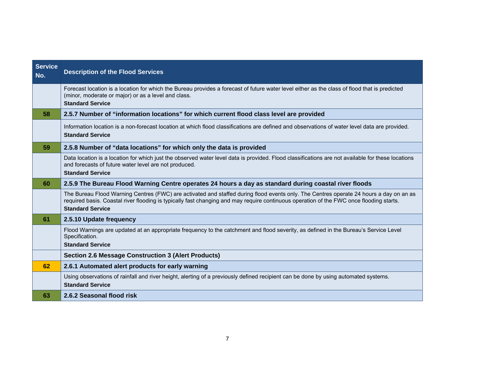| <b>Service</b><br>No. | <b>Description of the Flood Services</b>                                                                                                                                                                                                                                                                     |
|-----------------------|--------------------------------------------------------------------------------------------------------------------------------------------------------------------------------------------------------------------------------------------------------------------------------------------------------------|
|                       | Forecast location is a location for which the Bureau provides a forecast of future water level either as the class of flood that is predicted<br>(minor, moderate or major) or as a level and class.<br><b>Standard Service</b>                                                                              |
| 58                    | 2.5.7 Number of "information locations" for which current flood class level are provided                                                                                                                                                                                                                     |
|                       | Information location is a non-forecast location at which flood classifications are defined and observations of water level data are provided.<br><b>Standard Service</b>                                                                                                                                     |
| 59                    | 2.5.8 Number of "data locations" for which only the data is provided                                                                                                                                                                                                                                         |
|                       | Data location is a location for which just the observed water level data is provided. Flood classifications are not available for these locations<br>and forecasts of future water level are not produced.<br><b>Standard Service</b>                                                                        |
| 60                    | 2.5.9 The Bureau Flood Warning Centre operates 24 hours a day as standard during coastal river floods                                                                                                                                                                                                        |
|                       | The Bureau Flood Warning Centres (FWC) are activated and staffed during flood events only. The Centres operate 24 hours a day on an as<br>required basis. Coastal river flooding is typically fast changing and may require continuous operation of the FWC once flooding starts.<br><b>Standard Service</b> |
| 61                    | 2.5.10 Update frequency                                                                                                                                                                                                                                                                                      |
|                       | Flood Warnings are updated at an appropriate frequency to the catchment and flood severity, as defined in the Bureau's Service Level<br>Specification.<br><b>Standard Service</b>                                                                                                                            |
|                       | <b>Section 2.6 Message Construction 3 (Alert Products)</b>                                                                                                                                                                                                                                                   |
| 62                    | 2.6.1 Automated alert products for early warning                                                                                                                                                                                                                                                             |
|                       | Using observations of rainfall and river height, alerting of a previously defined recipient can be done by using automated systems.<br><b>Standard Service</b>                                                                                                                                               |
| 63                    | 2.6.2 Seasonal flood risk                                                                                                                                                                                                                                                                                    |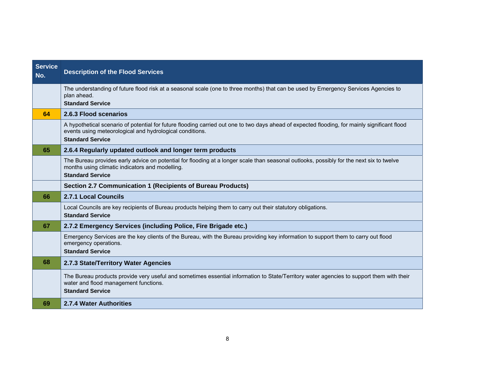| <b>Service</b><br>No. | <b>Description of the Flood Services</b>                                                                                                                                                                                             |
|-----------------------|--------------------------------------------------------------------------------------------------------------------------------------------------------------------------------------------------------------------------------------|
|                       | The understanding of future flood risk at a seasonal scale (one to three months) that can be used by Emergency Services Agencies to<br>plan ahead.<br><b>Standard Service</b>                                                        |
| 64                    | 2.6.3 Flood scenarios                                                                                                                                                                                                                |
|                       | A hypothetical scenario of potential for future flooding carried out one to two days ahead of expected flooding, for mainly significant flood<br>events using meteorological and hydrological conditions.<br><b>Standard Service</b> |
| 65                    | 2.6.4 Regularly updated outlook and longer term products                                                                                                                                                                             |
|                       | The Bureau provides early advice on potential for flooding at a longer scale than seasonal outlooks, possibly for the next six to twelve<br>months using climatic indicators and modelling.<br><b>Standard Service</b>               |
|                       | Section 2.7 Communication 1 (Recipients of Bureau Products)                                                                                                                                                                          |
| 66                    | <b>2.7.1 Local Councils</b>                                                                                                                                                                                                          |
|                       | Local Councils are key recipients of Bureau products helping them to carry out their statutory obligations.<br><b>Standard Service</b>                                                                                               |
| 67                    | 2.7.2 Emergency Services (including Police, Fire Brigade etc.)                                                                                                                                                                       |
|                       | Emergency Services are the key clients of the Bureau, with the Bureau providing key information to support them to carry out flood<br>emergency operations.<br><b>Standard Service</b>                                               |
| 68                    | 2.7.3 State/Territory Water Agencies                                                                                                                                                                                                 |
|                       | The Bureau products provide very useful and sometimes essential information to State/Territory water agencies to support them with their<br>water and flood management functions.<br><b>Standard Service</b>                         |
| 69                    | 2.7.4 Water Authorities                                                                                                                                                                                                              |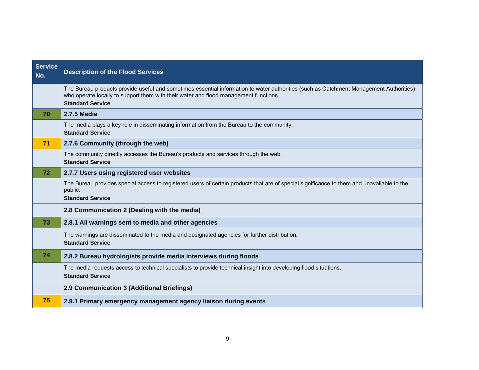| <b>Service</b><br>No. | <b>Description of the Flood Services</b>                                                                                                                                                                                                                  |
|-----------------------|-----------------------------------------------------------------------------------------------------------------------------------------------------------------------------------------------------------------------------------------------------------|
|                       | The Bureau products provide useful and sometimes essential information to water authorities (such as Catchment Management Authorities)<br>who operate locally to support them with their water and flood management functions.<br><b>Standard Service</b> |
| 70                    | <b>2.7.5 Media</b>                                                                                                                                                                                                                                        |
|                       | The media plays a key role in disseminating information from the Bureau to the community.<br><b>Standard Service</b>                                                                                                                                      |
| 71                    | 2.7.6 Community (through the web)                                                                                                                                                                                                                         |
|                       | The community directly accesses the Bureau's products and services through the web.<br><b>Standard Service</b>                                                                                                                                            |
| 72                    | 2.7.7 Users using registered user websites                                                                                                                                                                                                                |
|                       | The Bureau provides special access to registered users of certain products that are of special significance to them and unavailable to the<br>public.<br><b>Standard Service</b>                                                                          |
|                       | 2.8 Communication 2 (Dealing with the media)                                                                                                                                                                                                              |
| 73                    | 2.8.1 All warnings sent to media and other agencies                                                                                                                                                                                                       |
|                       | The warnings are disseminated to the media and designated agencies for further distribution.<br><b>Standard Service</b>                                                                                                                                   |
| 74                    | 2.8.2 Bureau hydrologists provide media interviews during floods                                                                                                                                                                                          |
|                       | The media requests access to technical specialists to provide technical insight into developing flood situations.<br><b>Standard Service</b>                                                                                                              |
|                       | 2.9 Communication 3 (Additional Briefings)                                                                                                                                                                                                                |
| 75                    | 2.9.1 Primary emergency management agency liaison during events                                                                                                                                                                                           |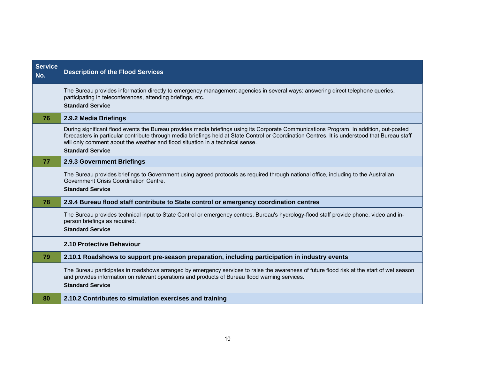| <b>Service</b><br>No. | <b>Description of the Flood Services</b>                                                                                                                                                                                                                                                                                                                                                              |
|-----------------------|-------------------------------------------------------------------------------------------------------------------------------------------------------------------------------------------------------------------------------------------------------------------------------------------------------------------------------------------------------------------------------------------------------|
|                       | The Bureau provides information directly to emergency management agencies in several ways: answering direct telephone queries,<br>participating in teleconferences, attending briefings, etc.<br><b>Standard Service</b>                                                                                                                                                                              |
| 76                    | 2.9.2 Media Briefings                                                                                                                                                                                                                                                                                                                                                                                 |
|                       | During significant flood events the Bureau provides media briefings using its Corporate Communications Program. In addition, out-posted<br>forecasters in particular contribute through media briefings held at State Control or Coordination Centres. It is understood that Bureau staff<br>will only comment about the weather and flood situation in a technical sense.<br><b>Standard Service</b> |
| 77                    | 2.9.3 Government Briefings                                                                                                                                                                                                                                                                                                                                                                            |
|                       | The Bureau provides briefings to Government using agreed protocols as required through national office, including to the Australian<br>Government Crisis Coordination Centre.<br><b>Standard Service</b>                                                                                                                                                                                              |
| 78                    | 2.9.4 Bureau flood staff contribute to State control or emergency coordination centres                                                                                                                                                                                                                                                                                                                |
|                       | The Bureau provides technical input to State Control or emergency centres. Bureau's hydrology-flood staff provide phone, video and in-<br>person briefings as required.<br><b>Standard Service</b>                                                                                                                                                                                                    |
|                       | 2.10 Protective Behaviour                                                                                                                                                                                                                                                                                                                                                                             |
| 79                    | 2.10.1 Roadshows to support pre-season preparation, including participation in industry events                                                                                                                                                                                                                                                                                                        |
|                       | The Bureau participates in roadshows arranged by emergency services to raise the awareness of future flood risk at the start of wet season<br>and provides information on relevant operations and products of Bureau flood warning services.<br><b>Standard Service</b>                                                                                                                               |
| 80                    | 2.10.2 Contributes to simulation exercises and training                                                                                                                                                                                                                                                                                                                                               |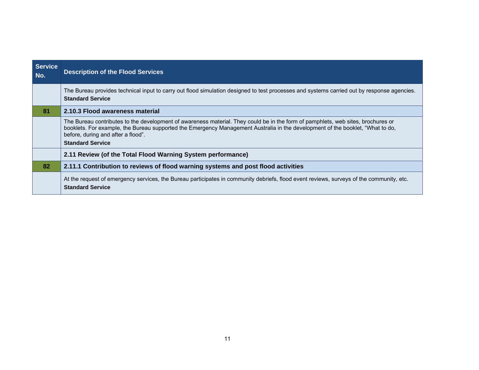| <b>Service</b><br>No. | <b>Description of the Flood Services</b>                                                                                                                                                                                                                                                                                            |
|-----------------------|-------------------------------------------------------------------------------------------------------------------------------------------------------------------------------------------------------------------------------------------------------------------------------------------------------------------------------------|
|                       | The Bureau provides technical input to carry out flood simulation designed to test processes and systems carried out by response agencies.<br><b>Standard Service</b>                                                                                                                                                               |
| 81                    | 2.10.3 Flood awareness material                                                                                                                                                                                                                                                                                                     |
|                       | The Bureau contributes to the development of awareness material. They could be in the form of pamphlets, web sites, brochures or<br>booklets. For example, the Bureau supported the Emergency Management Australia in the development of the booklet, "What to do,<br>before, during and after a flood".<br><b>Standard Service</b> |
|                       | 2.11 Review (of the Total Flood Warning System performance)                                                                                                                                                                                                                                                                         |
| 82                    | 2.11.1 Contribution to reviews of flood warning systems and post flood activities                                                                                                                                                                                                                                                   |
|                       | At the request of emergency services, the Bureau participates in community debriefs, flood event reviews, surveys of the community, etc.<br><b>Standard Service</b>                                                                                                                                                                 |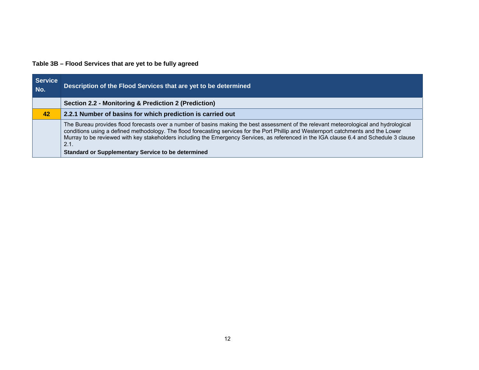# **Table 3B – Flood Services that are yet to be fully agreed**

| <b>Service</b><br>No. | Description of the Flood Services that are yet to be determined                                                                                                                                                                                                                                                                                                                                                                                                                                |
|-----------------------|------------------------------------------------------------------------------------------------------------------------------------------------------------------------------------------------------------------------------------------------------------------------------------------------------------------------------------------------------------------------------------------------------------------------------------------------------------------------------------------------|
|                       | Section 2.2 - Monitoring & Prediction 2 (Prediction)                                                                                                                                                                                                                                                                                                                                                                                                                                           |
| 42                    | 2.2.1 Number of basins for which prediction is carried out                                                                                                                                                                                                                                                                                                                                                                                                                                     |
|                       | The Bureau provides flood forecasts over a number of basins making the best assessment of the relevant meteorological and hydrological<br>conditions using a defined methodology. The flood forecasting services for the Port Phillip and Westernport catchments and the Lower<br>Murray to be reviewed with key stakeholders including the Emergency Services, as referenced in the IGA clause 6.4 and Schedule 3 clause<br>2.1.<br><b>Standard or Supplementary Service to be determined</b> |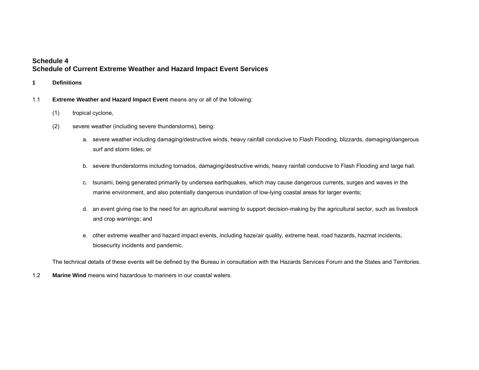## **Schedule 4 Schedule of Current Extreme Weather and Hazard Impact Event Services**

- **1 Definitions**
- 1.1 **Extreme Weather and Hazard Impact Event** means any or all of the following:
	- (1) tropical cyclone,
	- (2) severe weather (including severe thunderstorms), being:
		- a. severe weather including damaging/destructive winds, heavy rainfall conducive to Flash Flooding, blizzards, damaging/dangerous surf and storm tides; or
		- b. severe thunderstorms including tornados, damaging/destructive winds, heavy rainfall conducive to Flash Flooding and large hail.
		- c. tsunami, being generated primarily by undersea earthquakes, which may cause dangerous currents, surges and waves in the marine environment, and also potentially dangerous inundation of low-lying coastal areas for larger events;
		- d. an event giving rise to the need for an agricultural warning to support decision-making by the agricultural sector, such as livestock and crop warnings; and
		- e. other extreme weather and hazard impact events, including haze/air quality, extreme heat, road hazards, hazmat incidents, biosecurity incidents and pandemic.

The technical details of these events will be defined by the Bureau in consultation with the Hazards Services Forum and the States and Territories.

1.2 **Marine Wind** means wind hazardous to mariners in our coastal waters.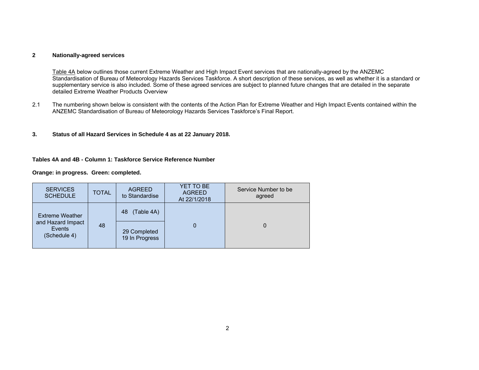#### **2 Nationally-agreed services**

Table 4A below outlines those current Extreme Weather and High Impact Event services that are nationally-agreed by the ANZEMC Standardisation of Bureau of Meteorology Hazards Services Taskforce. A short description of these services, as well as whether it is a standard or supplementary service is also included. Some of these agreed services are subject to planned future changes that are detailed in the separate detailed Extreme Weather Products Overview

- 2.1 The numbering shown below is consistent with the contents of the Action Plan for Extreme Weather and High Impact Events contained within the ANZEMC Standardisation of Bureau of Meteorology Hazards Services Taskforce's Final Report.
- **3. Status of all Hazard Services in Schedule 4 as at 22 January 2018.**

#### **Tables 4A and 4B - Column 1: Taskforce Service Reference Number**

**Orange: in progress. Green: completed.** 

| <b>SERVICES</b><br><b>SCHEDULE</b>                                    | <b>TOTAL</b> | <b>AGREED</b><br>to Standardise | YET TO BE<br><b>AGREED</b><br>At 22/1/2018 | Service Number to be<br>agreed |
|-----------------------------------------------------------------------|--------------|---------------------------------|--------------------------------------------|--------------------------------|
| <b>Extreme Weather</b><br>and Hazard Impact<br>Events<br>(Schedule 4) | 48           | (Table 4A)<br>48                | 0                                          | 0                              |
|                                                                       |              | 29 Completed<br>19 In Progress  |                                            |                                |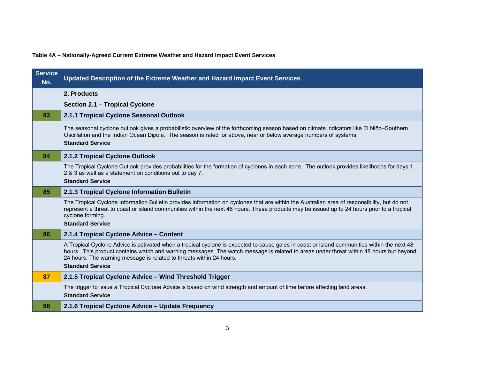**Table 4A – Nationally-Agreed Current Extreme Weather and Hazard Impact Event Services** 

| <b>Service</b><br>No. | Updated Description of the Extreme Weather and Hazard Impact Event Services                                                                                                                                                                                                                                                                                                              |
|-----------------------|------------------------------------------------------------------------------------------------------------------------------------------------------------------------------------------------------------------------------------------------------------------------------------------------------------------------------------------------------------------------------------------|
|                       | 2. Products                                                                                                                                                                                                                                                                                                                                                                              |
|                       | Section 2.1 - Tropical Cyclone                                                                                                                                                                                                                                                                                                                                                           |
| 83                    | 2.1.1 Tropical Cyclone Seasonal Outlook                                                                                                                                                                                                                                                                                                                                                  |
|                       | The seasonal cyclone outlook gives a probabilistic overview of the forthcoming season based on climate indicators like El Niño-Southern<br>Oscillation and the Indian Ocean Dipole. The season is rated for above, near or below average numbers of systems.<br><b>Standard Service</b>                                                                                                  |
| 84                    | 2.1.2 Tropical Cyclone Outlook                                                                                                                                                                                                                                                                                                                                                           |
|                       | The Tropical Cyclone Outlook provides probabilities for the formation of cyclones in each zone. The outlook provides likelihoods for days 1,<br>2 & 3 as well as a statement on conditions out to day 7.<br><b>Standard Service</b>                                                                                                                                                      |
| 85                    | 2.1.3 Tropical Cyclone Information Bulletin                                                                                                                                                                                                                                                                                                                                              |
|                       | The Tropical Cyclone Information Bulletin provides information on cyclones that are within the Australian area of responsibility, but do not<br>represent a threat to coast or island communities within the next 48 hours. These products may be issued up to 24 hours prior to a tropical<br>cyclone forming.<br><b>Standard Service</b>                                               |
| 86                    | 2.1.4 Tropical Cyclone Advice - Content                                                                                                                                                                                                                                                                                                                                                  |
|                       | A Tropical Cyclone Advice is activated when a tropical cyclone is expected to cause gales in coast or island communities within the next 48<br>hours. This product contains watch and warning messages. The watch message is related to areas under threat within 48 hours but beyond<br>24 hours. The warning message is related to threats within 24 hours.<br><b>Standard Service</b> |
| 87                    | 2.1.5 Tropical Cyclone Advice - Wind Threshold Trigger                                                                                                                                                                                                                                                                                                                                   |
|                       | The trigger to issue a Tropical Cyclone Advice is based on wind strength and amount of time before affecting land areas.<br><b>Standard Service</b>                                                                                                                                                                                                                                      |
| 88                    | 2.1.6 Tropical Cyclone Advice - Update Frequency                                                                                                                                                                                                                                                                                                                                         |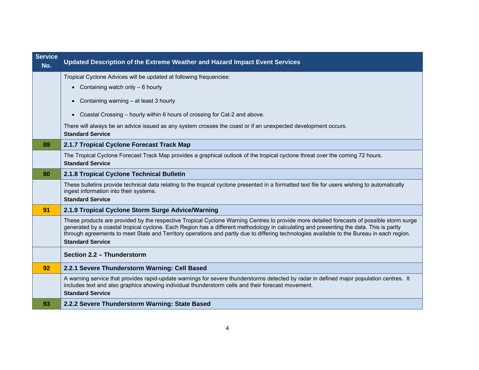| <b>Service</b><br>No. | Updated Description of the Extreme Weather and Hazard Impact Event Services                                                                                                                                                                                                                                                                                                                                                                                   |
|-----------------------|---------------------------------------------------------------------------------------------------------------------------------------------------------------------------------------------------------------------------------------------------------------------------------------------------------------------------------------------------------------------------------------------------------------------------------------------------------------|
|                       | Tropical Cyclone Advices will be updated at following frequencies:                                                                                                                                                                                                                                                                                                                                                                                            |
|                       | • Containing watch only $-6$ hourly                                                                                                                                                                                                                                                                                                                                                                                                                           |
|                       | Containing warning - at least 3 hourly<br>$\bullet$                                                                                                                                                                                                                                                                                                                                                                                                           |
|                       | Coastal Crossing – hourly within 6 hours of crossing for Cat-2 and above.<br>$\bullet$                                                                                                                                                                                                                                                                                                                                                                        |
|                       | There will always be an advice issued as any system crosses the coast or if an unexpected development occurs.                                                                                                                                                                                                                                                                                                                                                 |
|                       | <b>Standard Service</b>                                                                                                                                                                                                                                                                                                                                                                                                                                       |
| 89                    | 2.1.7 Tropical Cyclone Forecast Track Map                                                                                                                                                                                                                                                                                                                                                                                                                     |
|                       | The Tropical Cyclone Forecast Track Map provides a graphical outlook of the tropical cyclone threat over the coming 72 hours.<br><b>Standard Service</b>                                                                                                                                                                                                                                                                                                      |
| 90                    | 2.1.8 Tropical Cyclone Technical Bulletin                                                                                                                                                                                                                                                                                                                                                                                                                     |
|                       | These bulletins provide technical data relating to the tropical cyclone presented in a formatted text file for users wishing to automatically<br>ingest information into their systems.<br><b>Standard Service</b>                                                                                                                                                                                                                                            |
| 91                    | 2.1.9 Tropical Cyclone Storm Surge Advice/Warning                                                                                                                                                                                                                                                                                                                                                                                                             |
|                       | These products are provided by the respective Tropical Cyclone Warning Centres to provide more detailed forecasts of possible storm surge<br>generated by a coastal tropical cyclone. Each Region has a different methodology in calculating and presenting the data. This is partly<br>through agreements to meet State and Territory operations and partly due to differing technologies available to the Bureau in each region.<br><b>Standard Service</b> |
|                       | Section 2.2 - Thunderstorm                                                                                                                                                                                                                                                                                                                                                                                                                                    |
| 92                    | 2.2.1 Severe Thunderstorm Warning: Cell Based                                                                                                                                                                                                                                                                                                                                                                                                                 |
|                       | A warning service that provides rapid-update warnings for severe thunderstorms detected by radar in defined major population centres. It<br>includes text and also graphics showing individual thunderstorm cells and their forecast movement.<br><b>Standard Service</b>                                                                                                                                                                                     |
| 93                    | 2.2.2 Severe Thunderstorm Warning: State Based                                                                                                                                                                                                                                                                                                                                                                                                                |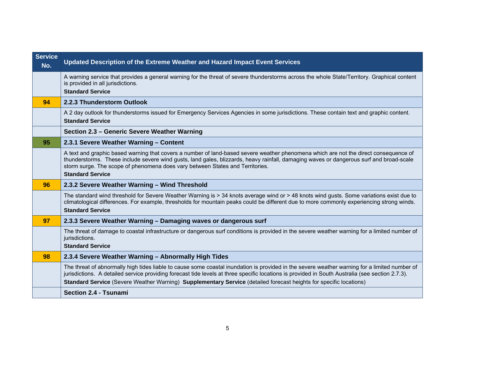| <b>Service</b><br>No. | Updated Description of the Extreme Weather and Hazard Impact Event Services                                                                                                                                                                                                                                                                                                                 |
|-----------------------|---------------------------------------------------------------------------------------------------------------------------------------------------------------------------------------------------------------------------------------------------------------------------------------------------------------------------------------------------------------------------------------------|
|                       | A warning service that provides a general warning for the threat of severe thunderstorms across the whole State/Territory. Graphical content<br>is provided in all jurisdictions.<br><b>Standard Service</b>                                                                                                                                                                                |
| 94                    | 2.2.3 Thunderstorm Outlook                                                                                                                                                                                                                                                                                                                                                                  |
|                       | A 2 day outlook for thunderstorms issued for Emergency Services Agencies in some jurisdictions. These contain text and graphic content.<br><b>Standard Service</b>                                                                                                                                                                                                                          |
|                       | Section 2.3 - Generic Severe Weather Warning                                                                                                                                                                                                                                                                                                                                                |
| 95                    | 2.3.1 Severe Weather Warning - Content                                                                                                                                                                                                                                                                                                                                                      |
|                       | A text and graphic based warning that covers a number of land-based severe weather phenomena which are not the direct consequence of<br>thunderstorms. These include severe wind gusts, land gales, blizzards, heavy rainfall, damaging waves or dangerous surf and broad-scale<br>storm surge. The scope of phenomena does vary between States and Territories.<br><b>Standard Service</b> |
| 96                    | 2.3.2 Severe Weather Warning - Wind Threshold                                                                                                                                                                                                                                                                                                                                               |
|                       | The standard wind threshold for Severe Weather Warning is > 34 knots average wind or > 48 knots wind gusts. Some variations exist due to<br>climatological differences. For example, thresholds for mountain peaks could be different due to more commonly experiencing strong winds.<br><b>Standard Service</b>                                                                            |
| 97                    | 2.3.3 Severe Weather Warning - Damaging waves or dangerous surf                                                                                                                                                                                                                                                                                                                             |
|                       | The threat of damage to coastal infrastructure or dangerous surf conditions is provided in the severe weather warning for a limited number of<br>jurisdictions.<br><b>Standard Service</b>                                                                                                                                                                                                  |
| 98                    | 2.3.4 Severe Weather Warning - Abnormally High Tides                                                                                                                                                                                                                                                                                                                                        |
|                       | The threat of abnormally high tides liable to cause some coastal inundation is provided in the severe weather warning for a limited number of<br>jurisdictions. A detailed service providing forecast tide levels at three specific locations is provided in South Australia (see section 2.7.3).                                                                                           |
|                       | Standard Service (Severe Weather Warning) Supplementary Service (detailed forecast heights for specific locations)                                                                                                                                                                                                                                                                          |
|                       | <b>Section 2.4 - Tsunami</b>                                                                                                                                                                                                                                                                                                                                                                |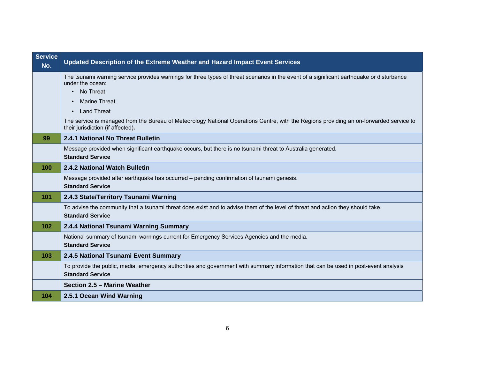| <b>Service</b><br>No. | Updated Description of the Extreme Weather and Hazard Impact Event Services                                                                                                  |
|-----------------------|------------------------------------------------------------------------------------------------------------------------------------------------------------------------------|
|                       | The tsunami warning service provides warnings for three types of threat scenarios in the event of a significant earthquake or disturbance<br>under the ocean:<br>• No Threat |
|                       | <b>Marine Threat</b><br>$\bullet$                                                                                                                                            |
|                       | <b>Land Threat</b><br>$\bullet$                                                                                                                                              |
|                       | The service is managed from the Bureau of Meteorology National Operations Centre, with the Regions providing an on-forwarded service to<br>their jurisdiction (if affected). |
| 99                    | 2.4.1 National No Threat Bulletin                                                                                                                                            |
|                       | Message provided when significant earthquake occurs, but there is no tsunami threat to Australia generated.<br><b>Standard Service</b>                                       |
| 100                   | 2.4.2 National Watch Bulletin                                                                                                                                                |
|                       | Message provided after earthquake has occurred - pending confirmation of tsunami genesis.<br><b>Standard Service</b>                                                         |
| 101                   | 2.4.3 State/Territory Tsunami Warning                                                                                                                                        |
|                       | To advise the community that a tsunami threat does exist and to advise them of the level of threat and action they should take.<br><b>Standard Service</b>                   |
| 102                   | 2.4.4 National Tsunami Warning Summary                                                                                                                                       |
|                       | National summary of tsunami warnings current for Emergency Services Agencies and the media.<br><b>Standard Service</b>                                                       |
| 103                   | 2.4.5 National Tsunami Event Summary                                                                                                                                         |
|                       | To provide the public, media, emergency authorities and government with summary information that can be used in post-event analysis<br><b>Standard Service</b>               |
|                       | Section 2.5 - Marine Weather                                                                                                                                                 |
| 104                   | 2.5.1 Ocean Wind Warning                                                                                                                                                     |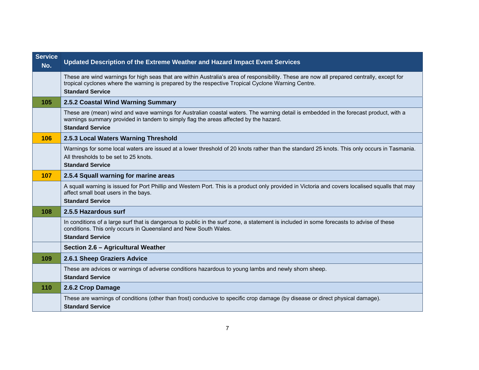| <b>Service</b><br>No. | Updated Description of the Extreme Weather and Hazard Impact Event Services                                                                                                                                                                                                 |
|-----------------------|-----------------------------------------------------------------------------------------------------------------------------------------------------------------------------------------------------------------------------------------------------------------------------|
|                       | These are wind warnings for high seas that are within Australia's area of responsibility. These are now all prepared centrally, except for<br>tropical cyclones where the warning is prepared by the respective Tropical Cyclone Warning Centre.<br><b>Standard Service</b> |
| 105                   | 2.5.2 Coastal Wind Warning Summary                                                                                                                                                                                                                                          |
|                       | These are (mean) wind and wave warnings for Australian coastal waters. The warning detail is embedded in the forecast product, with a<br>warnings summary provided in tandem to simply flag the areas affected by the hazard.<br><b>Standard Service</b>                    |
| 106                   | 2.5.3 Local Waters Warning Threshold                                                                                                                                                                                                                                        |
|                       | Warnings for some local waters are issued at a lower threshold of 20 knots rather than the standard 25 knots. This only occurs in Tasmania.<br>All thresholds to be set to 25 knots.<br><b>Standard Service</b>                                                             |
| 107                   | 2.5.4 Squall warning for marine areas                                                                                                                                                                                                                                       |
|                       | A squall warning is issued for Port Phillip and Western Port. This is a product only provided in Victoria and covers localised squalls that may<br>affect small boat users in the bays.<br><b>Standard Service</b>                                                          |
| 108                   | 2.5.5 Hazardous surf                                                                                                                                                                                                                                                        |
|                       | In conditions of a large surf that is dangerous to public in the surf zone, a statement is included in some forecasts to advise of these<br>conditions. This only occurs in Queensland and New South Wales.<br><b>Standard Service</b>                                      |
|                       | Section 2.6 - Agricultural Weather                                                                                                                                                                                                                                          |
| 109                   | 2.6.1 Sheep Graziers Advice                                                                                                                                                                                                                                                 |
|                       | These are advices or warnings of adverse conditions hazardous to young lambs and newly shorn sheep.<br><b>Standard Service</b>                                                                                                                                              |
| 110                   | 2.6.2 Crop Damage                                                                                                                                                                                                                                                           |
|                       | These are warnings of conditions (other than frost) conducive to specific crop damage (by disease or direct physical damage).<br><b>Standard Service</b>                                                                                                                    |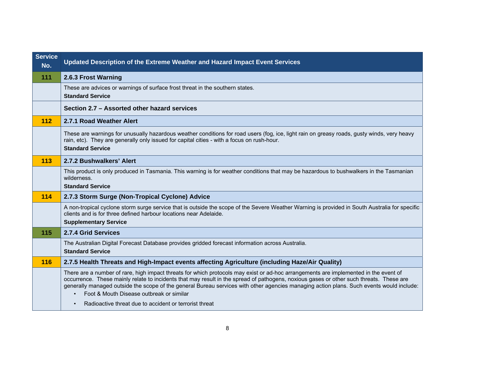| <b>Service</b><br>No. | Updated Description of the Extreme Weather and Hazard Impact Event Services                                                                                                                                                                                                                                                                                                                                                                                             |
|-----------------------|-------------------------------------------------------------------------------------------------------------------------------------------------------------------------------------------------------------------------------------------------------------------------------------------------------------------------------------------------------------------------------------------------------------------------------------------------------------------------|
| 111                   | 2.6.3 Frost Warning                                                                                                                                                                                                                                                                                                                                                                                                                                                     |
|                       | These are advices or warnings of surface frost threat in the southern states.<br><b>Standard Service</b>                                                                                                                                                                                                                                                                                                                                                                |
|                       | Section 2.7 - Assorted other hazard services                                                                                                                                                                                                                                                                                                                                                                                                                            |
| 112                   | 2.7.1 Road Weather Alert                                                                                                                                                                                                                                                                                                                                                                                                                                                |
|                       | These are warnings for unusually hazardous weather conditions for road users (fog, ice, light rain on greasy roads, gusty winds, very heavy<br>rain, etc). They are generally only issued for capital cities - with a focus on rush-hour.<br><b>Standard Service</b>                                                                                                                                                                                                    |
| 113                   | 2.7.2 Bushwalkers' Alert                                                                                                                                                                                                                                                                                                                                                                                                                                                |
|                       | This product is only produced in Tasmania. This warning is for weather conditions that may be hazardous to bushwalkers in the Tasmanian<br>wilderness.<br><b>Standard Service</b>                                                                                                                                                                                                                                                                                       |
| 114                   | 2.7.3 Storm Surge (Non-Tropical Cyclone) Advice                                                                                                                                                                                                                                                                                                                                                                                                                         |
|                       | A non-tropical cyclone storm surge service that is outside the scope of the Severe Weather Warning is provided in South Australia for specific<br>clients and is for three defined harbour locations near Adelaide.<br><b>Supplementary Service</b>                                                                                                                                                                                                                     |
| 115                   | 2.7.4 Grid Services                                                                                                                                                                                                                                                                                                                                                                                                                                                     |
|                       | The Australian Digital Forecast Database provides gridded forecast information across Australia.<br><b>Standard Service</b>                                                                                                                                                                                                                                                                                                                                             |
| 116                   | 2.7.5 Health Threats and High-Impact events affecting Agriculture (including Haze/Air Quality)                                                                                                                                                                                                                                                                                                                                                                          |
|                       | There are a number of rare, high impact threats for which protocols may exist or ad-hoc arrangements are implemented in the event of<br>occurrence. These mainly relate to incidents that may result in the spread of pathogens, noxious gases or other such threats. These are<br>generally managed outside the scope of the general Bureau services with other agencies managing action plans. Such events would include:<br>Foot & Mouth Disease outbreak or similar |
|                       | Radioactive threat due to accident or terrorist threat<br>$\bullet$                                                                                                                                                                                                                                                                                                                                                                                                     |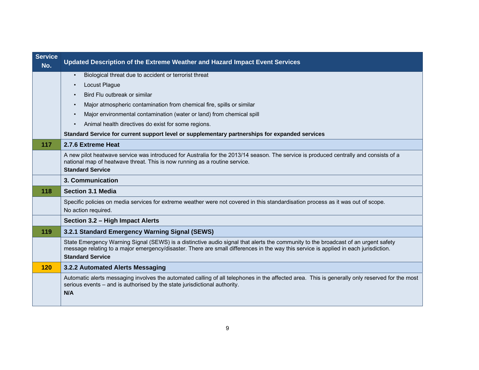| <b>Service</b><br>No. | Updated Description of the Extreme Weather and Hazard Impact Event Services                                                                                                                                                                                                                           |
|-----------------------|-------------------------------------------------------------------------------------------------------------------------------------------------------------------------------------------------------------------------------------------------------------------------------------------------------|
|                       | Biological threat due to accident or terrorist threat<br>$\bullet$                                                                                                                                                                                                                                    |
|                       | Locust Plague                                                                                                                                                                                                                                                                                         |
|                       | Bird Flu outbreak or similar                                                                                                                                                                                                                                                                          |
|                       | Major atmospheric contamination from chemical fire, spills or similar<br>$\bullet$                                                                                                                                                                                                                    |
|                       | Major environmental contamination (water or land) from chemical spill                                                                                                                                                                                                                                 |
|                       | Animal health directives do exist for some regions.                                                                                                                                                                                                                                                   |
|                       | Standard Service for current support level or supplementary partnerships for expanded services                                                                                                                                                                                                        |
| 117                   | 2.7.6 Extreme Heat                                                                                                                                                                                                                                                                                    |
|                       | A new pilot heatwave service was introduced for Australia for the 2013/14 season. The service is produced centrally and consists of a<br>national map of heatwave threat. This is now running as a routine service.                                                                                   |
|                       | <b>Standard Service</b>                                                                                                                                                                                                                                                                               |
|                       | 3. Communication                                                                                                                                                                                                                                                                                      |
| 118                   | <b>Section 3.1 Media</b>                                                                                                                                                                                                                                                                              |
|                       | Specific policies on media services for extreme weather were not covered in this standardisation process as it was out of scope.<br>No action required.                                                                                                                                               |
|                       | Section 3.2 - High Impact Alerts                                                                                                                                                                                                                                                                      |
| 119                   | 3.2.1 Standard Emergency Warning Signal (SEWS)                                                                                                                                                                                                                                                        |
|                       | State Emergency Warning Signal (SEWS) is a distinctive audio signal that alerts the community to the broadcast of an urgent safety<br>message relating to a major emergency/disaster. There are small differences in the way this service is applied in each jurisdiction.<br><b>Standard Service</b> |
| 120                   | 3.2.2 Automated Alerts Messaging                                                                                                                                                                                                                                                                      |
|                       | Automatic alerts messaging involves the automated calling of all telephones in the affected area. This is generally only reserved for the most<br>serious events - and is authorised by the state jurisdictional authority.<br>N/A                                                                    |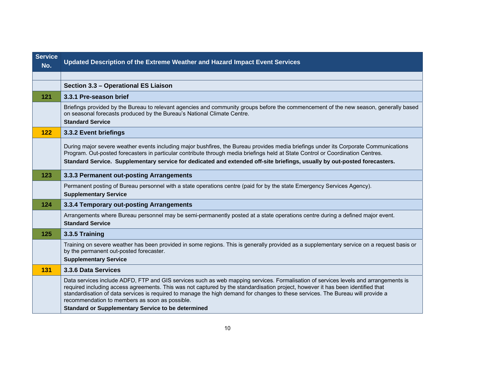| <b>Service</b><br>No. | Updated Description of the Extreme Weather and Hazard Impact Event Services                                                                                                                                                                                                                                                                                                                                                                                 |
|-----------------------|-------------------------------------------------------------------------------------------------------------------------------------------------------------------------------------------------------------------------------------------------------------------------------------------------------------------------------------------------------------------------------------------------------------------------------------------------------------|
|                       |                                                                                                                                                                                                                                                                                                                                                                                                                                                             |
|                       | Section 3.3 - Operational ES Liaison                                                                                                                                                                                                                                                                                                                                                                                                                        |
| 121                   | 3.3.1 Pre-season brief                                                                                                                                                                                                                                                                                                                                                                                                                                      |
|                       | Briefings provided by the Bureau to relevant agencies and community groups before the commencement of the new season, generally based<br>on seasonal forecasts produced by the Bureau's National Climate Centre.<br><b>Standard Service</b>                                                                                                                                                                                                                 |
| 122                   | 3.3.2 Event briefings                                                                                                                                                                                                                                                                                                                                                                                                                                       |
|                       | During major severe weather events including major bushfires, the Bureau provides media briefings under its Corporate Communications<br>Program. Out-posted forecasters in particular contribute through media briefings held at State Control or Coordination Centres.<br>Standard Service. Supplementary service for dedicated and extended off-site briefings, usually by out-posted forecasters.                                                        |
| 123                   | 3.3.3 Permanent out-posting Arrangements                                                                                                                                                                                                                                                                                                                                                                                                                    |
|                       | Permanent posting of Bureau personnel with a state operations centre (paid for by the state Emergency Services Agency).<br><b>Supplementary Service</b>                                                                                                                                                                                                                                                                                                     |
| 124                   | 3.3.4 Temporary out-posting Arrangements                                                                                                                                                                                                                                                                                                                                                                                                                    |
|                       | Arrangements where Bureau personnel may be semi-permanently posted at a state operations centre during a defined major event.<br><b>Standard Service</b>                                                                                                                                                                                                                                                                                                    |
| 125                   | 3.3.5 Training                                                                                                                                                                                                                                                                                                                                                                                                                                              |
|                       | Training on severe weather has been provided in some regions. This is generally provided as a supplementary service on a request basis or<br>by the permanent out-posted forecaster.<br><b>Supplementary Service</b>                                                                                                                                                                                                                                        |
| 131                   | 3.3.6 Data Services                                                                                                                                                                                                                                                                                                                                                                                                                                         |
|                       | Data services include ADFD, FTP and GIS services such as web mapping services. Formalisation of services levels and arrangements is<br>required including access agreements. This was not captured by the standardisation project, however it has been identified that<br>standardisation of data services is required to manage the high demand for changes to these services. The Bureau will provide a<br>recommendation to members as soon as possible. |
|                       | Standard or Supplementary Service to be determined                                                                                                                                                                                                                                                                                                                                                                                                          |